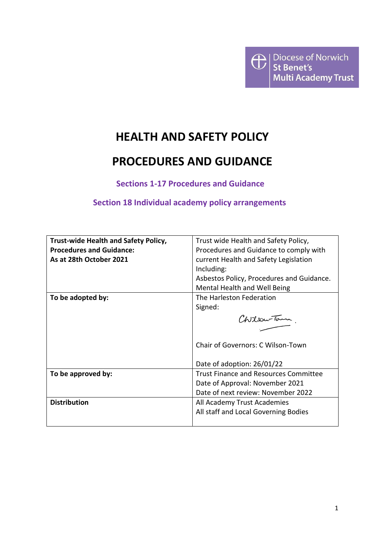

# **HEALTH AND SAFETY POLICY**

# **PROCEDURES AND GUIDANCE**

**Sections 1-17 Procedures and Guidance**

# **Section 18 Individual academy policy arrangements**

| <b>Trust-wide Health and Safety Policy,</b> | Trust wide Health and Safety Policy,         |  |
|---------------------------------------------|----------------------------------------------|--|
| <b>Procedures and Guidance:</b>             | Procedures and Guidance to comply with       |  |
| As at 28th October 2021                     | current Health and Safety Legislation        |  |
|                                             | Including:                                   |  |
|                                             | Asbestos Policy, Procedures and Guidance.    |  |
|                                             | Mental Health and Well Being                 |  |
| To be adopted by:                           | The Harleston Federation                     |  |
|                                             | Signed:                                      |  |
|                                             | Chilou-Tour                                  |  |
|                                             |                                              |  |
|                                             | Chair of Governors: C Wilson-Town            |  |
|                                             | Date of adoption: 26/01/22                   |  |
| To be approved by:                          | <b>Trust Finance and Resources Committee</b> |  |
|                                             | Date of Approval: November 2021              |  |
|                                             | Date of next review: November 2022           |  |
| <b>Distribution</b>                         | All Academy Trust Academies                  |  |
|                                             | All staff and Local Governing Bodies         |  |
|                                             |                                              |  |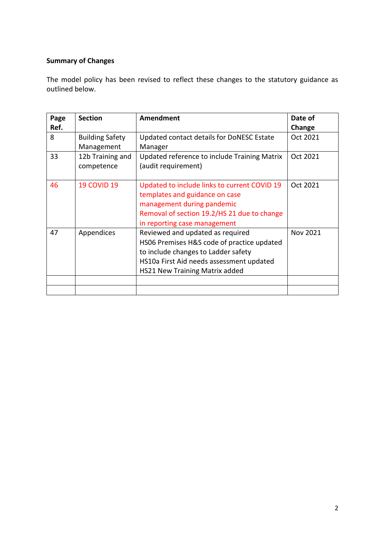# **Summary of Changes**

The model policy has been revised to reflect these changes to the statutory guidance as outlined below.

| Page | <b>Section</b>         | Amendment                                    | Date of         |
|------|------------------------|----------------------------------------------|-----------------|
| Ref. |                        |                                              | Change          |
| 8    | <b>Building Safety</b> | Updated contact details for DoNESC Estate    | Oct 2021        |
|      | Management             | Manager                                      |                 |
| 33   | 12b Training and       | Updated reference to include Training Matrix | Oct 2021        |
|      | competence             | (audit requirement)                          |                 |
|      |                        |                                              |                 |
| 46   | <b>19 COVID 19</b>     | Updated to include links to current COVID 19 | Oct 2021        |
|      |                        | templates and guidance on case               |                 |
|      |                        | management during pandemic                   |                 |
|      |                        | Removal of section 19.2/HS 21 due to change  |                 |
|      |                        | in reporting case management                 |                 |
| 47   | Appendices             | Reviewed and updated as required             | <b>Nov 2021</b> |
|      |                        | HS06 Premises H&S code of practice updated   |                 |
|      |                        | to include changes to Ladder safety          |                 |
|      |                        | HS10a First Aid needs assessment updated     |                 |
|      |                        | <b>HS21 New Training Matrix added</b>        |                 |
|      |                        |                                              |                 |
|      |                        |                                              |                 |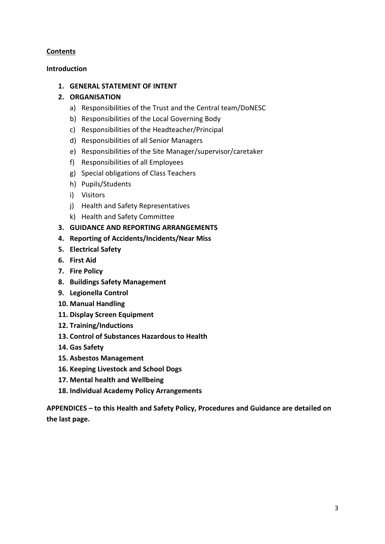# **Contents**

# **Introduction**

# **1. GENERAL STATEMENT OF INTENT**

# **2. ORGANISATION**

- a) Responsibilities of the Trust and the Central team/DoNESC
- b) Responsibilities of the Local Governing Body
- c) Responsibilities of the Headteacher/Principal
- d) Responsibilities of all Senior Managers
- e) Responsibilities of the Site Manager/supervisor/caretaker
- f) Responsibilities of all Employees
- g) Special obligations of Class Teachers
- h) Pupils/Students
- i) Visitors
- j) Health and Safety Representatives
- k) Health and Safety Committee
- **3. GUIDANCE AND REPORTING ARRANGEMENTS**
- **4. Reporting of Accidents/Incidents/Near Miss**
- **5. Electrical Safety**
- **6. First Aid**
- **7. Fire Policy**
- **8. Buildings Safety Management**
- **9. Legionella Control**
- **10. Manual Handling**
- **11. Display Screen Equipment**
- **12. Training/Inductions**
- **13. Control of Substances Hazardous to Health**
- **14. Gas Safety**
- **15. Asbestos Management**
- **16. Keeping Livestock and School Dogs**
- **17. Mental health and Wellbeing**
- **18. Individual Academy Policy Arrangements**

**APPENDICES – to this Health and Safety Policy, Procedures and Guidance are detailed on the last page.**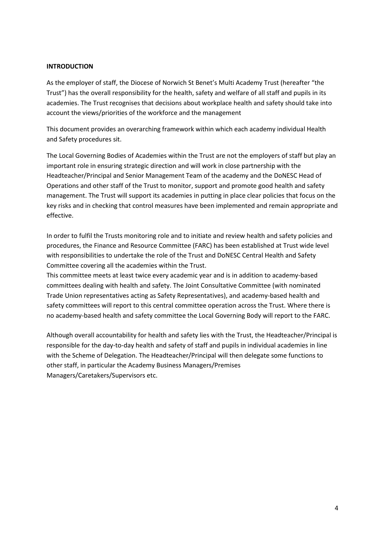#### **INTRODUCTION**

As the employer of staff, the Diocese of Norwich St Benet's Multi Academy Trust (hereafter "the Trust") has the overall responsibility for the health, safety and welfare of all staff and pupils in its academies. The Trust recognises that decisions about workplace health and safety should take into account the views/priorities of the workforce and the management

This document provides an overarching framework within which each academy individual Health and Safety procedures sit.

The Local Governing Bodies of Academies within the Trust are not the employers of staff but play an important role in ensuring strategic direction and will work in close partnership with the Headteacher/Principal and Senior Management Team of the academy and the DoNESC Head of Operations and other staff of the Trust to monitor, support and promote good health and safety management. The Trust will support its academies in putting in place clear policies that focus on the key risks and in checking that control measures have been implemented and remain appropriate and effective.

In order to fulfil the Trusts monitoring role and to initiate and review health and safety policies and procedures, the Finance and Resource Committee (FARC) has been established at Trust wide level with responsibilities to undertake the role of the Trust and DoNESC Central Health and Safety Committee covering all the academies within the Trust.

This committee meets at least twice every academic year and is in addition to academy-based committees dealing with health and safety. The Joint Consultative Committee (with nominated Trade Union representatives acting as Safety Representatives), and academy-based health and safety committees will report to this central committee operation across the Trust. Where there is no academy-based health and safety committee the Local Governing Body will report to the FARC.

Although overall accountability for health and safety lies with the Trust, the Headteacher/Principal is responsible for the day-to-day health and safety of staff and pupils in individual academies in line with the Scheme of Delegation. The Headteacher/Principal will then delegate some functions to other staff, in particular the Academy Business Managers/Premises Managers/Caretakers/Supervisors etc.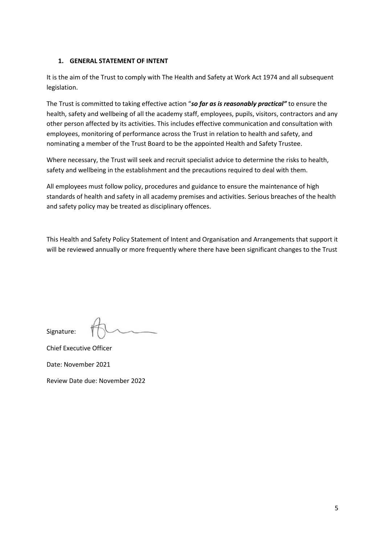## **1. GENERAL STATEMENT OF INTENT**

It is the aim of the Trust to comply with The Health and Safety at Work Act 1974 and all subsequent legislation.

The Trust is committed to taking effective action "*so far as is reasonably practical"* to ensure the health, safety and wellbeing of all the academy staff, employees, pupils, visitors, contractors and any other person affected by its activities. This includes effective communication and consultation with employees, monitoring of performance across the Trust in relation to health and safety, and nominating a member of the Trust Board to be the appointed Health and Safety Trustee.

Where necessary, the Trust will seek and recruit specialist advice to determine the risks to health, safety and wellbeing in the establishment and the precautions required to deal with them.

All employees must follow policy, procedures and guidance to ensure the maintenance of high standards of health and safety in all academy premises and activities. Serious breaches of the health and safety policy may be treated as disciplinary offences.

This Health and Safety Policy Statement of Intent and Organisation and Arrangements that support it will be reviewed annually or more frequently where there have been significant changes to the Trust

Signature:

Chief Executive Officer

Date: November 2021

Review Date due: November 2022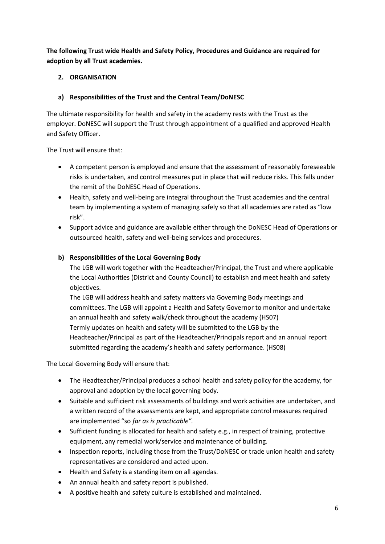**The following Trust wide Health and Safety Policy, Procedures and Guidance are required for adoption by all Trust academies.**

# **2. ORGANISATION**

## **a) Responsibilities of the Trust and the Central Team/DoNESC**

The ultimate responsibility for health and safety in the academy rests with the Trust as the employer. DoNESC will support the Trust through appointment of a qualified and approved Health and Safety Officer.

The Trust will ensure that:

- A competent person is employed and ensure that the assessment of reasonably foreseeable risks is undertaken, and control measures put in place that will reduce risks. This falls under the remit of the DoNESC Head of Operations.
- Health, safety and well-being are integral throughout the Trust academies and the central team by implementing a system of managing safely so that all academies are rated as "low risk".
- Support advice and guidance are available either through the DoNESC Head of Operations or outsourced health, safety and well-being services and procedures.

## **b) Responsibilities of the Local Governing Body**

The LGB will work together with the Headteacher/Principal, the Trust and where applicable the Local Authorities (District and County Council) to establish and meet health and safety objectives.

The LGB will address health and safety matters via Governing Body meetings and committees. The LGB will appoint a Health and Safety Governor to monitor and undertake an annual health and safety walk/check throughout the academy (HS07) Termly updates on health and safety will be submitted to the LGB by the Headteacher/Principal as part of the Headteacher/Principals report and an annual report submitted regarding the academy's health and safety performance. (HS08)

The Local Governing Body will ensure that:

- The Headteacher/Principal produces a school health and safety policy for the academy, for approval and adoption by the local governing body.
- Suitable and sufficient risk assessments of buildings and work activities are undertaken, and a written record of the assessments are kept, and appropriate control measures required are implemented "so *far as is practicable".*
- Sufficient funding is allocated for health and safety e.g., in respect of training, protective equipment, any remedial work/service and maintenance of building.
- Inspection reports, including those from the Trust/DoNESC or trade union health and safety representatives are considered and acted upon.
- Health and Safety is a standing item on all agendas.
- An annual health and safety report is published.
- A positive health and safety culture is established and maintained.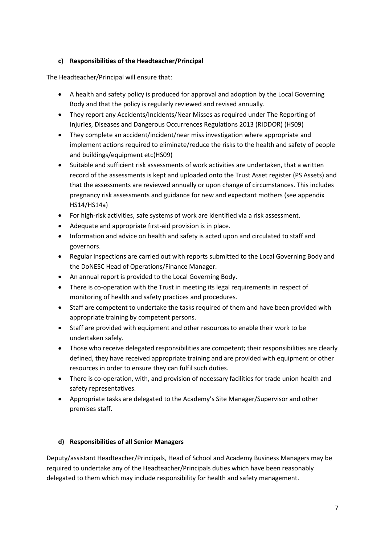# **c) Responsibilities of the Headteacher/Principal**

The Headteacher/Principal will ensure that:

- A health and safety policy is produced for approval and adoption by the Local Governing Body and that the policy is regularly reviewed and revised annually.
- They report any Accidents/Incidents/Near Misses as required under The Reporting of Injuries, Diseases and Dangerous Occurrences Regulations 2013 (RIDDOR) (HS09)
- They complete an accident/incident/near miss investigation where appropriate and implement actions required to eliminate/reduce the risks to the health and safety of people and buildings/equipment etc(HS09)
- Suitable and sufficient risk assessments of work activities are undertaken, that a written record of the assessments is kept and uploaded onto the Trust Asset register (PS Assets) and that the assessments are reviewed annually or upon change of circumstances. This includes pregnancy risk assessments and guidance for new and expectant mothers (see appendix HS14/HS14a)
- For high-risk activities, safe systems of work are identified via a risk assessment.
- Adequate and appropriate first-aid provision is in place.
- Information and advice on health and safety is acted upon and circulated to staff and governors.
- Regular inspections are carried out with reports submitted to the Local Governing Body and the DoNESC Head of Operations/Finance Manager.
- An annual report is provided to the Local Governing Body.
- There is co-operation with the Trust in meeting its legal requirements in respect of monitoring of health and safety practices and procedures.
- Staff are competent to undertake the tasks required of them and have been provided with appropriate training by competent persons.
- Staff are provided with equipment and other resources to enable their work to be undertaken safely.
- Those who receive delegated responsibilities are competent; their responsibilities are clearly defined, they have received appropriate training and are provided with equipment or other resources in order to ensure they can fulfil such duties.
- There is co-operation, with, and provision of necessary facilities for trade union health and safety representatives.
- Appropriate tasks are delegated to the Academy's Site Manager/Supervisor and other premises staff.

## **d) Responsibilities of all Senior Managers**

Deputy/assistant Headteacher/Principals, Head of School and Academy Business Managers may be required to undertake any of the Headteacher/Principals duties which have been reasonably delegated to them which may include responsibility for health and safety management.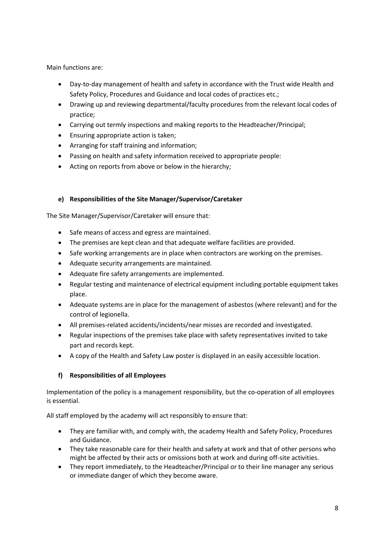Main functions are:

- Day-to-day management of health and safety in accordance with the Trust wide Health and Safety Policy, Procedures and Guidance and local codes of practices etc.;
- Drawing up and reviewing departmental/faculty procedures from the relevant local codes of practice;
- Carrying out termly inspections and making reports to the Headteacher/Principal;
- Ensuring appropriate action is taken;
- Arranging for staff training and information;
- Passing on health and safety information received to appropriate people:
- Acting on reports from above or below in the hierarchy;

## **e) Responsibilities of the Site Manager/Supervisor/Caretaker**

The Site Manager/Supervisor/Caretaker will ensure that:

- Safe means of access and egress are maintained.
- The premises are kept clean and that adequate welfare facilities are provided.
- Safe working arrangements are in place when contractors are working on the premises.
- Adequate security arrangements are maintained.
- Adequate fire safety arrangements are implemented.
- Regular testing and maintenance of electrical equipment including portable equipment takes place.
- Adequate systems are in place for the management of asbestos (where relevant) and for the control of legionella.
- All premises-related accidents/incidents/near misses are recorded and investigated.
- Regular inspections of the premises take place with safety representatives invited to take part and records kept.
- A copy of the Health and Safety Law poster is displayed in an easily accessible location.

## **f) Responsibilities of all Employees**

Implementation of the policy is a management responsibility, but the co-operation of all employees is essential.

All staff employed by the academy will act responsibly to ensure that:

- They are familiar with, and comply with, the academy Health and Safety Policy, Procedures and Guidance.
- They take reasonable care for their health and safety at work and that of other persons who might be affected by their acts or omissions both at work and during off-site activities.
- They report immediately, to the Headteacher/Principal or to their line manager any serious or immediate danger of which they become aware.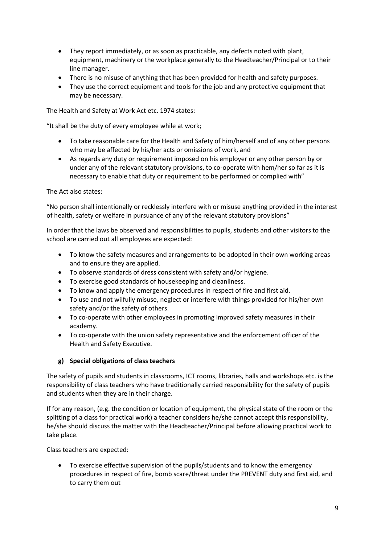- They report immediately, or as soon as practicable, any defects noted with plant, equipment, machinery or the workplace generally to the Headteacher/Principal or to their line manager.
- There is no misuse of anything that has been provided for health and safety purposes.
- They use the correct equipment and tools for the job and any protective equipment that may be necessary.

The Health and Safety at Work Act etc. 1974 states:

"It shall be the duty of every employee while at work;

- To take reasonable care for the Health and Safety of him/herself and of any other persons who may be affected by his/her acts or omissions of work, and
- As regards any duty or requirement imposed on his employer or any other person by or under any of the relevant statutory provisions, to co-operate with hem/her so far as it is necessary to enable that duty or requirement to be performed or complied with"

## The Act also states:

"No person shall intentionally or recklessly interfere with or misuse anything provided in the interest of health, safety or welfare in pursuance of any of the relevant statutory provisions"

In order that the laws be observed and responsibilities to pupils, students and other visitors to the school are carried out all employees are expected:

- To know the safety measures and arrangements to be adopted in their own working areas and to ensure they are applied.
- To observe standards of dress consistent with safety and/or hygiene.
- To exercise good standards of housekeeping and cleanliness.
- To know and apply the emergency procedures in respect of fire and first aid.
- To use and not wilfully misuse, neglect or interfere with things provided for his/her own safety and/or the safety of others.
- To co-operate with other employees in promoting improved safety measures in their academy.
- To co-operate with the union safety representative and the enforcement officer of the Health and Safety Executive.

## **g) Special obligations of class teachers**

The safety of pupils and students in classrooms, ICT rooms, libraries, halls and workshops etc. is the responsibility of class teachers who have traditionally carried responsibility for the safety of pupils and students when they are in their charge.

If for any reason, (e.g. the condition or location of equipment, the physical state of the room or the splitting of a class for practical work) a teacher considers he/she cannot accept this responsibility, he/she should discuss the matter with the Headteacher/Principal before allowing practical work to take place.

Class teachers are expected:

• To exercise effective supervision of the pupils/students and to know the emergency procedures in respect of fire, bomb scare/threat under the PREVENT duty and first aid, and to carry them out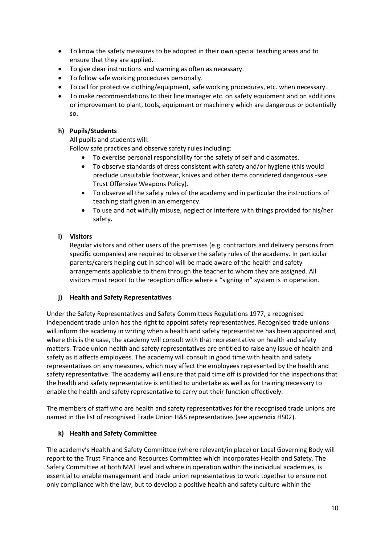- To know the safety measures to be adopted in their own special teaching areas and to ensure that they are applied.
- To give clear instructions and warning as often as necessary.
- To follow safe working procedures personally.
- To call for protective clothing/equipment, safe working procedures, etc. when necessary.
- To make recommendations to their line manager etc. on safety equipment and on additions or improvement to plant, tools, equipment or machinery which are dangerous or potentially so.

#### **h) Pupils/Students**

All pupils and students will:

Follow safe practices and observe safety rules including:

- To exercise personal responsibility for the safety of self and classmates.
- To observe standards of dress consistent with safety and/or hygiene (this would preclude unsuitable footwear, knives and other items considered dangerous -see Trust Offensive Weapons Policy).
- To observe all the safety rules of the academy and in particular the instructions of teaching staff given in an emergency.
- To use and not wilfully misuse, neglect or interfere with things provided for his/her safety**.**
- **i) Visitors**

Regular visitors and other users of the premises (e.g. contractors and delivery persons from specific companies) are required to observe the safety rules of the academy. In particular parents/carers helping out in school will be made aware of the health and safety arrangements applicable to them through the teacher to whom they are assigned. All visitors must report to the reception office where a "signing in" system is in operation.

## **j) Health and Safety Representatives**

Under the Safety Representatives and Safety Committees Regulations 1977, a recognised independent trade union has the right to appoint safety representatives. Recognised trade unions will inform the academy in writing when a health and safety representative has been appointed and, where this is the case, the academy will consult with that representative on health and safety matters. Trade union health and safety representatives are entitled to raise any issue of health and safety as it affects employees. The academy will consult in good time with health and safety representatives on any measures, which may affect the employees represented by the health and safety representative. The academy will ensure that paid time off is provided for the inspections that the health and safety representative is entitled to undertake as well as for training necessary to enable the health and safety representative to carry out their function effectively.

The members of staff who are health and safety representatives for the recognised trade unions are named in the list of recognised Trade Union H&S representatives (see appendix HS02).

#### **k) Health and Safety Committee**

The academy's Health and Safety Committee (where relevant/in place) or Local Governing Body will report to the Trust Finance and Resources Committee which incorporates Health and Safety. The Safety Committee at both MAT level and where in operation within the individual academies, is essential to enable management and trade union representatives to work together to ensure not only compliance with the law, but to develop a positive health and safety culture within the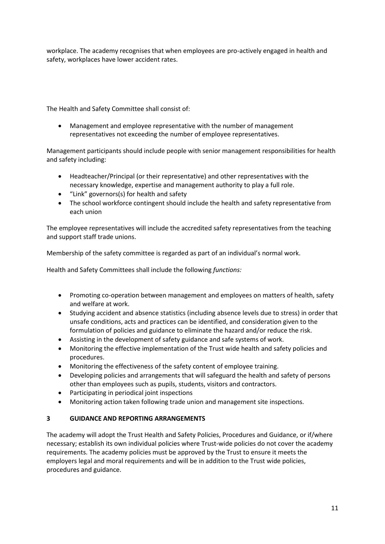workplace. The academy recognises that when employees are pro-actively engaged in health and safety, workplaces have lower accident rates.

The Health and Safety Committee shall consist of:

• Management and employee representative with the number of management representatives not exceeding the number of employee representatives.

Management participants should include people with senior management responsibilities for health and safety including:

- Headteacher/Principal (or their representative) and other representatives with the necessary knowledge, expertise and management authority to play a full role.
- "Link" governors(s) for health and safety
- The school workforce contingent should include the health and safety representative from each union

The employee representatives will include the accredited safety representatives from the teaching and support staff trade unions.

Membership of the safety committee is regarded as part of an individual's normal work.

Health and Safety Committees shall include the following *functions:*

- Promoting co-operation between management and employees on matters of health, safety and welfare at work.
- Studying accident and absence statistics (including absence levels due to stress) in order that unsafe conditions, acts and practices can be identified, and consideration given to the formulation of policies and guidance to eliminate the hazard and/or reduce the risk.
- Assisting in the development of safety guidance and safe systems of work.
- Monitoring the effective implementation of the Trust wide health and safety policies and procedures.
- Monitoring the effectiveness of the safety content of employee training.
- Developing policies and arrangements that will safeguard the health and safety of persons other than employees such as pupils, students, visitors and contractors.
- Participating in periodical joint inspections
- Monitoring action taken following trade union and management site inspections.

## **3 GUIDANCE AND REPORTING ARRANGEMENTS**

The academy will adopt the Trust Health and Safety Policies, Procedures and Guidance, or if/where necessary; establish its own individual policies where Trust-wide policies do not cover the academy requirements. The academy policies must be approved by the Trust to ensure it meets the employers legal and moral requirements and will be in addition to the Trust wide policies, procedures and guidance.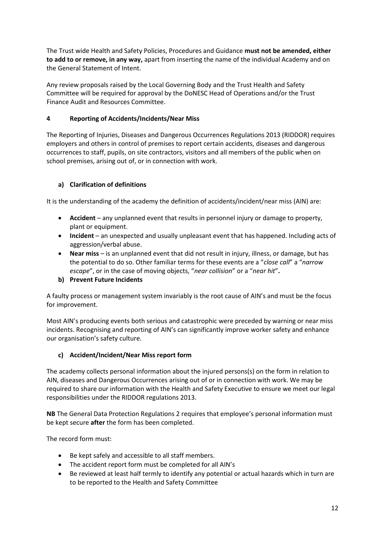The Trust wide Health and Safety Policies, Procedures and Guidance **must not be amended, either to add to or remove, in any way,** apart from inserting the name of the individual Academy and on the General Statement of Intent.

Any review proposals raised by the Local Governing Body and the Trust Health and Safety Committee will be required for approval by the DoNESC Head of Operations and/or the Trust Finance Audit and Resources Committee.

## **4 Reporting of Accidents/Incidents/Near Miss**

The Reporting of Injuries, Diseases and Dangerous Occurrences Regulations 2013 (RIDDOR) requires employers and others in control of premises to report certain accidents, diseases and dangerous occurrences to staff, pupils, on site contractors, visitors and all members of the public when on school premises, arising out of, or in connection with work.

## **a) Clarification of definitions**

It is the understanding of the academy the definition of accidents/incident/near miss (AIN) are:

- **Accident** any unplanned event that results in personnel injury or damage to property, plant or equipment.
- **Incident** an unexpected and usually unpleasant event that has happened. Including acts of aggression/verbal abuse.
- **Near miss** is an unplanned event that did not result in injury, illness, or damage, but has the potential to do so. Other familiar terms for these events are a "*close call*" a "*narrow escape*", or in the case of moving objects, "*near collision*" or a "*near hit*"**.**

## **b) Prevent Future Incidents**

A faulty process or management system invariably is the root cause of AIN's and must be the focus for improvement.

Most AIN's producing events both serious and catastrophic were preceded by warning or near miss incidents. Recognising and reporting of AIN's can significantly improve worker safety and enhance our organisation's safety culture.

## **c) Accident/Incident/Near Miss report form**

The academy collects personal information about the injured persons(s) on the form in relation to AIN, diseases and Dangerous Occurrences arising out of or in connection with work. We may be required to share our information with the Health and Safety Executive to ensure we meet our legal responsibilities under the RIDDOR regulations 2013.

**NB** The General Data Protection Regulations 2 requires that employee's personal information must be kept secure **after** the form has been completed.

The record form must:

- Be kept safely and accessible to all staff members.
- The accident report form must be completed for all AIN's
- Be reviewed at least half termly to identify any potential or actual hazards which in turn are to be reported to the Health and Safety Committee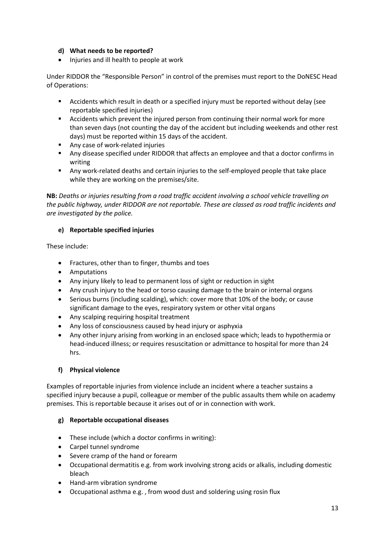## **d) What needs to be reported?**

• Injuries and ill health to people at work

Under RIDDOR the "Responsible Person" in control of the premises must report to the DoNESC Head of Operations:

- Accidents which result in death or a specified injury must be reported without delay (see reportable specified injuries)
- Accidents which prevent the injured person from continuing their normal work for more than seven days (not counting the day of the accident but including weekends and other rest days) must be reported within 15 days of the accident.
- Any case of work-related injuries
- Any disease specified under RIDDOR that affects an employee and that a doctor confirms in writing
- Any work-related deaths and certain injuries to the self-employed people that take place while they are working on the premises/site.

**NB:** *Deaths or injuries resulting from a road traffic accident involving a school vehicle travelling on the public highway, under RIDDOR are not reportable. These are classed as road traffic incidents and are investigated by the police.*

## **e) Reportable specified injuries**

These include:

- Fractures, other than to finger, thumbs and toes
- Amputations
- Any injury likely to lead to permanent loss of sight or reduction in sight
- Any crush injury to the head or torso causing damage to the brain or internal organs
- Serious burns (including scalding), which: cover more that 10% of the body; or cause significant damage to the eyes, respiratory system or other vital organs
- Any scalping requiring hospital treatment
- Any loss of consciousness caused by head injury or asphyxia
- Any other injury arising from working in an enclosed space which; leads to hypothermia or head-induced illness; or requires resuscitation or admittance to hospital for more than 24 hrs.

## **f) Physical violence**

Examples of reportable injuries from violence include an incident where a teacher sustains a specified injury because a pupil, colleague or member of the public assaults them while on academy premises. This is reportable because it arises out of or in connection with work.

## **g) Reportable occupational diseases**

- These include (which a doctor confirms in writing):
- Carpel tunnel syndrome
- Severe cramp of the hand or forearm
- Occupational dermatitis e.g. from work involving strong acids or alkalis, including domestic bleach
- Hand-arm vibration syndrome
- Occupational asthma e.g. , from wood dust and soldering using rosin flux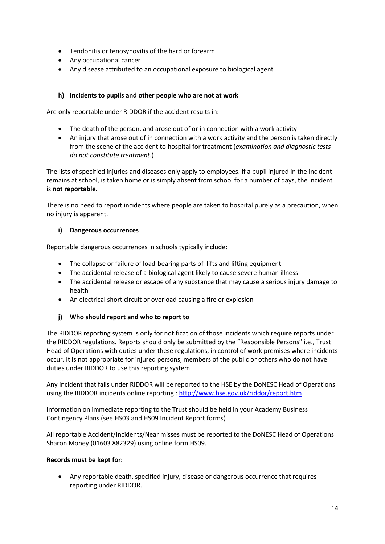- Tendonitis or tenosynovitis of the hard or forearm
- Any occupational cancer
- Any disease attributed to an occupational exposure to biological agent

#### **h) Incidents to pupils and other people who are not at work**

Are only reportable under RIDDOR if the accident results in:

- The death of the person, and arose out of or in connection with a work activity
- An injury that arose out of in connection with a work activity and the person is taken directly from the scene of the accident to hospital for treatment (*examination and diagnostic tests do not constitute treatment*.)

The lists of specified injuries and diseases only apply to employees. If a pupil injured in the incident remains at school, is taken home or is simply absent from school for a number of days, the incident is **not reportable.**

There is no need to report incidents where people are taken to hospital purely as a precaution, when no injury is apparent.

#### **i) Dangerous occurrences**

Reportable dangerous occurrences in schools typically include:

- The collapse or failure of load-bearing parts of lifts and lifting equipment
- The accidental release of a biological agent likely to cause severe human illness
- The accidental release or escape of any substance that may cause a serious injury damage to health
- An electrical short circuit or overload causing a fire or explosion

## **j) Who should report and who to report to**

The RIDDOR reporting system is only for notification of those incidents which require reports under the RIDDOR regulations. Reports should only be submitted by the "Responsible Persons" i.e., Trust Head of Operations with duties under these regulations, in control of work premises where incidents occur. It is not appropriate for injured persons, members of the public or others who do not have duties under RIDDOR to use this reporting system.

Any incident that falls under RIDDOR will be reported to the HSE by the DoNESC Head of Operations using the RIDDOR incidents online reporting [: http://www.hse.gov.uk/riddor/report.htm](http://www.hse.gov.uk/riddor/report.htm)

Information on immediate reporting to the Trust should be held in your Academy Business Contingency Plans (see HS03 and HS09 Incident Report forms)

All reportable Accident/Incidents/Near misses must be reported to the DoNESC Head of Operations Sharon Money (01603 882329) using online form HS09.

#### **Records must be kept for:**

• Any reportable death, specified injury, disease or dangerous occurrence that requires reporting under RIDDOR.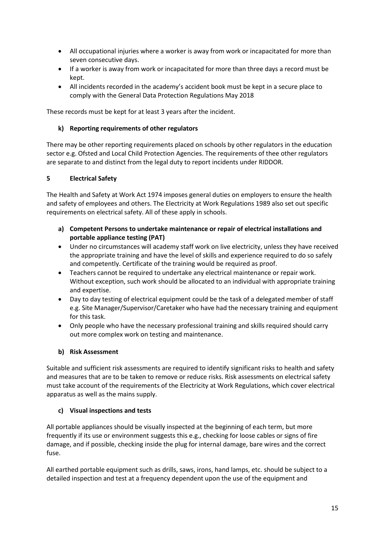- All occupational injuries where a worker is away from work or incapacitated for more than seven consecutive days.
- If a worker is away from work or incapacitated for more than three days a record must be kept.
- All incidents recorded in the academy's accident book must be kept in a secure place to comply with the General Data Protection Regulations May 2018

These records must be kept for at least 3 years after the incident.

## **k) Reporting requirements of other regulators**

There may be other reporting requirements placed on schools by other regulators in the education sector e.g. Ofsted and Local Child Protection Agencies. The requirements of thee other regulators are separate to and distinct from the legal duty to report incidents under RIDDOR.

## **5 Electrical Safety**

The Health and Safety at Work Act 1974 imposes general duties on employers to ensure the health and safety of employees and others. The Electricity at Work Regulations 1989 also set out specific requirements on electrical safety. All of these apply in schools.

- **a) Competent Persons to undertake maintenance or repair of electrical installations and portable appliance testing (PAT)**
- Under no circumstances will academy staff work on live electricity, unless they have received the appropriate training and have the level of skills and experience required to do so safely and competently. Certificate of the training would be required as proof.
- Teachers cannot be required to undertake any electrical maintenance or repair work. Without exception, such work should be allocated to an individual with appropriate training and expertise.
- Day to day testing of electrical equipment could be the task of a delegated member of staff e.g. Site Manager/Supervisor/Caretaker who have had the necessary training and equipment for this task.
- Only people who have the necessary professional training and skills required should carry out more complex work on testing and maintenance.

## **b) Risk Assessment**

Suitable and sufficient risk assessments are required to identify significant risks to health and safety and measures that are to be taken to remove or reduce risks. Risk assessments on electrical safety must take account of the requirements of the Electricity at Work Regulations, which cover electrical apparatus as well as the mains supply.

## **c) Visual inspections and tests**

All portable appliances should be visually inspected at the beginning of each term, but more frequently if its use or environment suggests this e.g., checking for loose cables or signs of fire damage, and if possible, checking inside the plug for internal damage, bare wires and the correct fuse.

All earthed portable equipment such as drills, saws, irons, hand lamps, etc. should be subject to a detailed inspection and test at a frequency dependent upon the use of the equipment and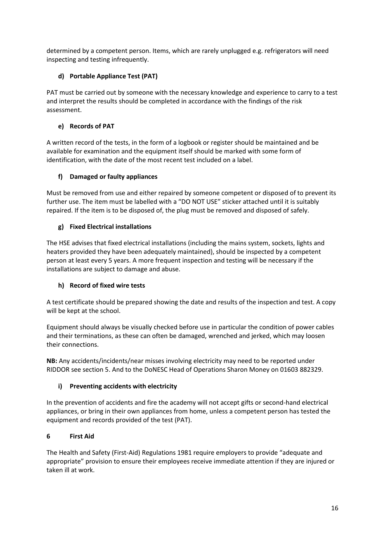determined by a competent person. Items, which are rarely unplugged e.g. refrigerators will need inspecting and testing infrequently.

# **d) Portable Appliance Test (PAT)**

PAT must be carried out by someone with the necessary knowledge and experience to carry to a test and interpret the results should be completed in accordance with the findings of the risk assessment.

# **e) Records of PAT**

A written record of the tests, in the form of a logbook or register should be maintained and be available for examination and the equipment itself should be marked with some form of identification, with the date of the most recent test included on a label.

# **f) Damaged or faulty appliances**

Must be removed from use and either repaired by someone competent or disposed of to prevent its further use. The item must be labelled with a "DO NOT USE" sticker attached until it is suitably repaired. If the item is to be disposed of, the plug must be removed and disposed of safely.

# **g) Fixed Electrical installations**

The HSE advises that fixed electrical installations (including the mains system, sockets, lights and heaters provided they have been adequately maintained), should be inspected by a competent person at least every 5 years. A more frequent inspection and testing will be necessary if the installations are subject to damage and abuse.

# **h) Record of fixed wire tests**

A test certificate should be prepared showing the date and results of the inspection and test. A copy will be kept at the school.

Equipment should always be visually checked before use in particular the condition of power cables and their terminations, as these can often be damaged, wrenched and jerked, which may loosen their connections.

**NB:** Any accidents/incidents/near misses involving electricity may need to be reported under RIDDOR see section 5. And to the DoNESC Head of Operations Sharon Money on 01603 882329.

# **i) Preventing accidents with electricity**

In the prevention of accidents and fire the academy will not accept gifts or second-hand electrical appliances, or bring in their own appliances from home, unless a competent person has tested the equipment and records provided of the test (PAT).

# **6 First Aid**

The Health and Safety (First-Aid) Regulations 1981 require employers to provide "adequate and appropriate" provision to ensure their employees receive immediate attention if they are injured or taken ill at work.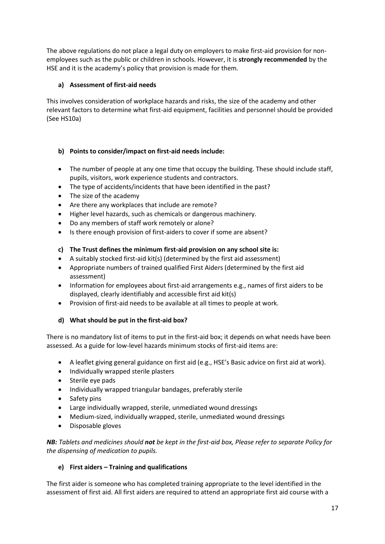The above regulations do not place a legal duty on employers to make first-aid provision for nonemployees such as the public or children in schools. However, it is **strongly recommended** by the HSE and it is the academy's policy that provision is made for them.

## **a) Assessment of first-aid needs**

This involves consideration of workplace hazards and risks, the size of the academy and other relevant factors to determine what first-aid equipment, facilities and personnel should be provided (See HS10a)

## **b) Points to consider/impact on first-aid needs include:**

- The number of people at any one time that occupy the building. These should include staff, pupils, visitors, work experience students and contractors.
- The type of accidents/incidents that have been identified in the past?
- The size of the academy
- Are there any workplaces that include are remote?
- Higher level hazards, such as chemicals or dangerous machinery.
- Do any members of staff work remotely or alone?
- Is there enough provision of first-aiders to cover if some are absent?

## **c) The Trust defines the minimum first-aid provision on any school site is:**

- A suitably stocked first-aid kit(s) (determined by the first aid assessment)
- Appropriate numbers of trained qualified First Aiders (determined by the first aid assessment)
- Information for employees about first-aid arrangements e.g., names of first aiders to be displayed, clearly identifiably and accessible first aid kit(s)
- Provision of first-aid needs to be available at all times to people at work.

## **d) What should be put in the first-aid box?**

There is no mandatory list of items to put in the first-aid box; it depends on what needs have been assessed. As a guide for low-level hazards minimum stocks of first-aid items are:

- A leaflet giving general guidance on first aid (e.g., HSE's Basic advice on first aid at work).
- Individually wrapped sterile plasters
- Sterile eye pads
- Individually wrapped triangular bandages, preferably sterile
- Safety pins
- Large individually wrapped, sterile, unmediated wound dressings
- Medium-sized, individually wrapped, sterile, unmediated wound dressings
- Disposable gloves

*NB: Tablets and medicines should not be kept in the first-aid box, Please refer to separate Policy for the dispensing of medication to pupils.*

## **e) First aiders – Training and qualifications**

The first aider is someone who has completed training appropriate to the level identified in the assessment of first aid. All first aiders are required to attend an appropriate first aid course with a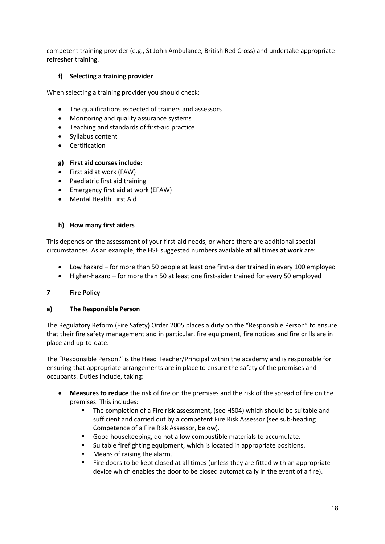competent training provider (e.g., St John Ambulance, British Red Cross) and undertake appropriate refresher training.

## **f) Selecting a training provider**

When selecting a training provider you should check:

- The qualifications expected of trainers and assessors
- Monitoring and quality assurance systems
- Teaching and standards of first-aid practice
- Syllabus content
- Certification

#### **g) First aid courses include:**

- First aid at work (FAW)
- Paediatric first aid training
- Emergency first aid at work (EFAW)
- Mental Health First Aid

#### **h) How many first aiders**

This depends on the assessment of your first-aid needs, or where there are additional special circumstances. As an example, the HSE suggested numbers available **at all times at work** are:

- Low hazard for more than 50 people at least one first-aider trained in every 100 employed
- Higher-hazard for more than 50 at least one first-aider trained for every 50 employed

#### **7 Fire Policy**

#### **a) The Responsible Person**

The Regulatory Reform (Fire Safety) Order 2005 places a duty on the "Responsible Person" to ensure that their fire safety management and in particular, fire equipment, fire notices and fire drills are in place and up-to-date.

The "Responsible Person," is the Head Teacher/Principal within the academy and is responsible for ensuring that appropriate arrangements are in place to ensure the safety of the premises and occupants. Duties include, taking:

- **Measures to reduce** the risk of fire on the premises and the risk of the spread of fire on the premises. This includes:
	- The completion of a Fire risk assessment, (see HS04) which should be suitable and sufficient and carried out by a competent Fire Risk Assessor (see sub-heading Competence of a Fire Risk Assessor, below).
	- Good housekeeping, do not allow combustible materials to accumulate.
	- Suitable firefighting equipment, which is located in appropriate positions.
	- Means of raising the alarm.
	- Fire doors to be kept closed at all times (unless they are fitted with an appropriate device which enables the door to be closed automatically in the event of a fire).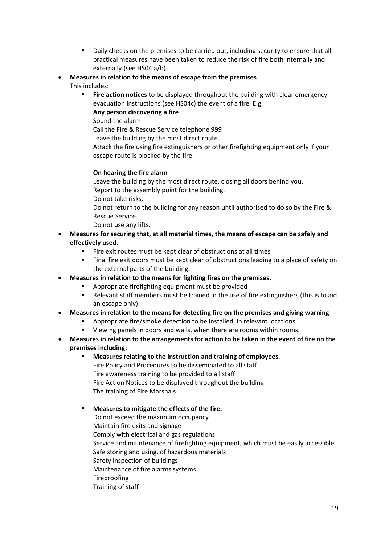- Daily checks on the premises to be carried out, including security to ensure that all practical measures have been taken to reduce the risk of fire both internally and externally.(see HS04 a/b)
- **Measures in relation to the means of escape from the premises** This includes:
	- Fire action notices to be displayed throughout the building with clear emergency evacuation instructions (see HS04c) the event of a fire. E.g.
		- **Any person discovering a fire**
		- Sound the alarm

Call the Fire & Rescue Service telephone 999

Leave the building by the most direct route.

Attack the fire using fire extinguishers or other firefighting equipment only if your escape route is blocked by the fire.

# **On hearing the fire alarm**

Leave the building by the most direct route, closing all doors behind you. Report to the assembly point for the building.

Do not take risks.

Do not return to the building for any reason until authorised to do so by the Fire & Rescue Service.

- Do not use any lifts.
- **Measures for securing that, at all material times, the means of escape can be safely and effectively used.**
	- Fire exit routes must be kept clear of obstructions at all times
	- Final fire exit doors must be kept clear of obstructions leading to a place of safety on the external parts of the building.

# • **Measures in relation to the means for fighting fires on the premises.**

- Appropriate firefighting equipment must be provided
- Relevant staff members must be trained in the use of fire extinguishers (this is to aid an escape only).

# • **Measures in relation to the means for detecting fire on the premises and giving warning**

- Appropriate fire/smoke detection to be installed, in relevant locations.
- Viewing panels in doors and walls, when there are rooms within rooms.
- **Measures in relation to the arrangements for action to be taken in the event of fire on the premises including:**
	- **Measures relating to the instruction and training of employees.** Fire Policy and Procedures to be disseminated to all staff Fire awareness training to be provided to all staff Fire Action Notices to be displayed throughout the building The training of Fire Marshals

# **Measures to mitigate the effects of the fire.**

Do not exceed the maximum occupancy Maintain fire exits and signage Comply with electrical and gas regulations Service and maintenance of firefighting equipment, which must be easily accessible Safe storing and using, of hazardous materials Safety inspection of buildings Maintenance of fire alarms systems Fireproofing Training of staff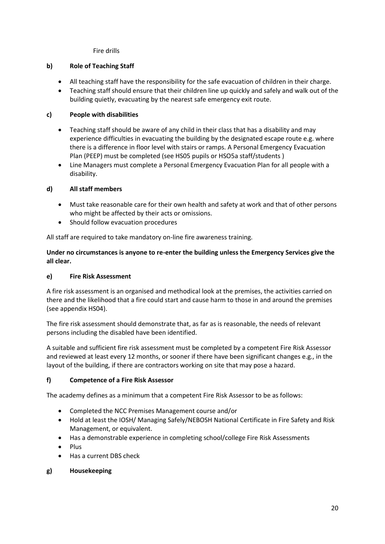Fire drills

## **b) Role of Teaching Staff**

- All teaching staff have the responsibility for the safe evacuation of children in their charge.
- Teaching staff should ensure that their children line up quickly and safely and walk out of the building quietly, evacuating by the nearest safe emergency exit route.

## **c) People with disabilities**

- Teaching staff should be aware of any child in their class that has a disability and may experience difficulties in evacuating the building by the designated escape route e.g. where there is a difference in floor level with stairs or ramps. A Personal Emergency Evacuation Plan (PEEP) must be completed (see HS05 pupils or HSO5a staff/students )
- Line Managers must complete a Personal Emergency Evacuation Plan for all people with a disability.

## **d) All staff members**

- Must take reasonable care for their own health and safety at work and that of other persons who might be affected by their acts or omissions.
- Should follow evacuation procedures

All staff are required to take mandatory on-line fire awareness training.

**Under no circumstances is anyone to re-enter the building unless the Emergency Services give the all clear.**

## **e) Fire Risk Assessment**

A fire risk assessment is an organised and methodical look at the premises, the activities carried on there and the likelihood that a fire could start and cause harm to those in and around the premises (see appendix HS04).

The fire risk assessment should demonstrate that, as far as is reasonable, the needs of relevant persons including the disabled have been identified.

A suitable and sufficient fire risk assessment must be completed by a competent Fire Risk Assessor and reviewed at least every 12 months, or sooner if there have been significant changes e.g., in the layout of the building, if there are contractors working on site that may pose a hazard.

## **f) Competence of a Fire Risk Assessor**

The academy defines as a minimum that a competent Fire Risk Assessor to be as follows:

- Completed the NCC Premises Management course and/or
- Hold at least the IOSH/ Managing Safely/NEBOSH National Certificate in Fire Safety and Risk Management, or equivalent.
- Has a demonstrable experience in completing school/college Fire Risk Assessments
- Plus
- Has a current DBS check

## **g) Housekeeping**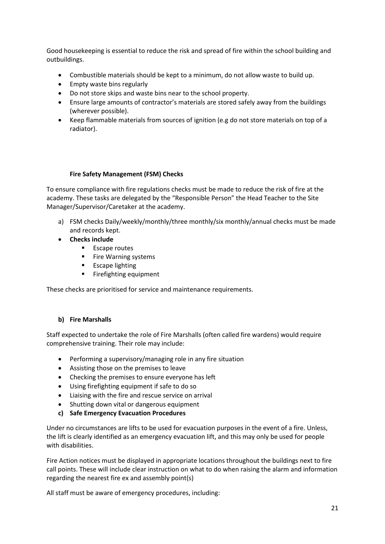Good housekeeping is essential to reduce the risk and spread of fire within the school building and outbuildings.

- Combustible materials should be kept to a minimum, do not allow waste to build up.
- Empty waste bins regularly
- Do not store skips and waste bins near to the school property.
- Ensure large amounts of contractor's materials are stored safely away from the buildings (wherever possible).
- Keep flammable materials from sources of ignition (e.g do not store materials on top of a radiator).

#### **Fire Safety Management (FSM) Checks**

To ensure compliance with fire regulations checks must be made to reduce the risk of fire at the academy. These tasks are delegated by the "Responsible Person" the Head Teacher to the Site Manager/Supervisor/Caretaker at the academy.

- a) FSM checks Daily/weekly/monthly/three monthly/six monthly/annual checks must be made and records kept.
- **Checks include**
	- Escape routes
	- Fire Warning systems
	- **■** Escape lighting
	- Firefighting equipment

These checks are prioritised for service and maintenance requirements.

## **b) Fire Marshalls**

Staff expected to undertake the role of Fire Marshalls (often called fire wardens) would require comprehensive training. Their role may include:

- Performing a supervisory/managing role in any fire situation
- Assisting those on the premises to leave
- Checking the premises to ensure everyone has left
- Using firefighting equipment if safe to do so
- Liaising with the fire and rescue service on arrival
- Shutting down vital or dangerous equipment
- **c) Safe Emergency Evacuation Procedures**

Under no circumstances are lifts to be used for evacuation purposes in the event of a fire. Unless, the lift is clearly identified as an emergency evacuation lift, and this may only be used for people with disabilities.

Fire Action notices must be displayed in appropriate locations throughout the buildings next to fire call points. These will include clear instruction on what to do when raising the alarm and information regarding the nearest fire ex and assembly point(s)

All staff must be aware of emergency procedures, including: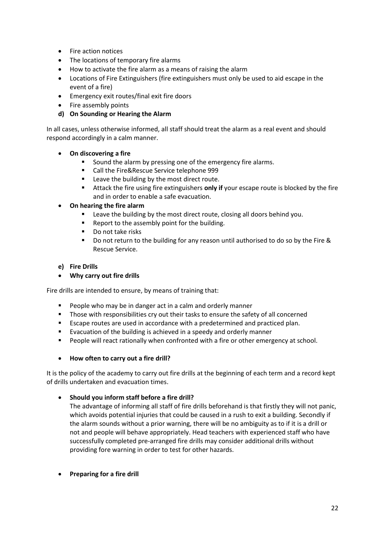- Fire action notices
- The locations of temporary fire alarms
- How to activate the fire alarm as a means of raising the alarm
- Locations of Fire Extinguishers (fire extinguishers must only be used to aid escape in the event of a fire)
- Emergency exit routes/final exit fire doors
- Fire assembly points
- **d) On Sounding or Hearing the Alarm**

In all cases, unless otherwise informed, all staff should treat the alarm as a real event and should respond accordingly in a calm manner.

- **On discovering a fire**
	- Sound the alarm by pressing one of the emergency fire alarms.
	- Call the Fire&Rescue Service telephone 999
	- Leave the building by the most direct route.
	- Attack the fire using fire extinguishers **only if** your escape route is blocked by the fire and in order to enable a safe evacuation.
- **On hearing the fire alarm**
	- Leave the building by the most direct route, closing all doors behind you.
	- Report to the assembly point for the building.
	- Do not take risks
	- Do not return to the building for any reason until authorised to do so by the Fire & Rescue Service.

#### **e) Fire Drills**

• **Why carry out fire drills**

Fire drills are intended to ensure, by means of training that:

- People who may be in danger act in a calm and orderly manner
- Those with responsibilities cry out their tasks to ensure the safety of all concerned
- Escape routes are used in accordance with a predetermined and practiced plan.
- Evacuation of the building is achieved in a speedy and orderly manner
- People will react rationally when confronted with a fire or other emergency at school.

## • **How often to carry out a fire drill?**

It is the policy of the academy to carry out fire drills at the beginning of each term and a record kept of drills undertaken and evacuation times.

## • **Should you inform staff before a fire drill?**

The advantage of informing all staff of fire drills beforehand is that firstly they will not panic, which avoids potential injuries that could be caused in a rush to exit a building. Secondly if the alarm sounds without a prior warning, there will be no ambiguity as to if it is a drill or not and people will behave appropriately. Head teachers with experienced staff who have successfully completed pre-arranged fire drills may consider additional drills without providing fore warning in order to test for other hazards.

• **Preparing for a fire drill**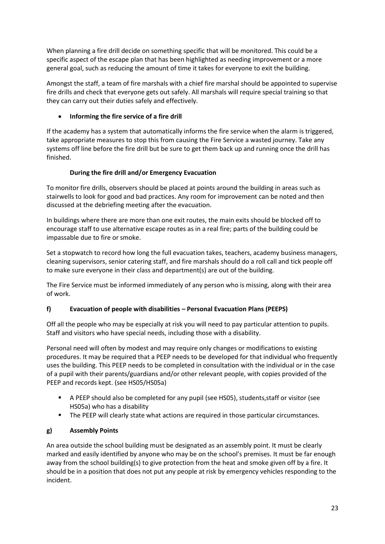When planning a fire drill decide on something specific that will be monitored. This could be a specific aspect of the escape plan that has been highlighted as needing improvement or a more general goal, such as reducing the amount of time it takes for everyone to exit the building.

Amongst the staff, a team of fire marshals with a chief fire marshal should be appointed to supervise fire drills and check that everyone gets out safely. All marshals will require special training so that they can carry out their duties safely and effectively.

## • **Informing the fire service of a fire drill**

If the academy has a system that automatically informs the fire service when the alarm is triggered, take appropriate measures to stop this from causing the Fire Service a wasted journey. Take any systems off line before the fire drill but be sure to get them back up and running once the drill has finished.

## **During the fire drill and/or Emergency Evacuation**

To monitor fire drills, observers should be placed at points around the building in areas such as stairwells to look for good and bad practices. Any room for improvement can be noted and then discussed at the debriefing meeting after the evacuation.

In buildings where there are more than one exit routes, the main exits should be blocked off to encourage staff to use alternative escape routes as in a real fire; parts of the building could be impassable due to fire or smoke.

Set a stopwatch to record how long the full evacuation takes, teachers, academy business managers, cleaning supervisors, senior catering staff, and fire marshals should do a roll call and tick people off to make sure everyone in their class and department(s) are out of the building.

The Fire Service must be informed immediately of any person who is missing, along with their area of work.

# **f) Evacuation of people with disabilities – Personal Evacuation Plans (PEEPS)**

Off all the people who may be especially at risk you will need to pay particular attention to pupils. Staff and visitors who have special needs, including those with a disability.

Personal need will often by modest and may require only changes or modifications to existing procedures. It may be required that a PEEP needs to be developed for that individual who frequently uses the building. This PEEP needs to be completed in consultation with the individual or in the case of a pupil with their parents/guardians and/or other relevant people, with copies provided of the PEEP and records kept. (see HS05/HS05a)

- A PEEP should also be completed for any pupil (see HS05), students, staff or visitor (see HS05a) who has a disability
- The PEEP will clearly state what actions are required in those particular circumstances.

# **g) Assembly Points**

An area outside the school building must be designated as an assembly point. It must be clearly marked and easily identified by anyone who may be on the school's premises. It must be far enough away from the school building(s) to give protection from the heat and smoke given off by a fire. It should be in a position that does not put any people at risk by emergency vehicles responding to the incident.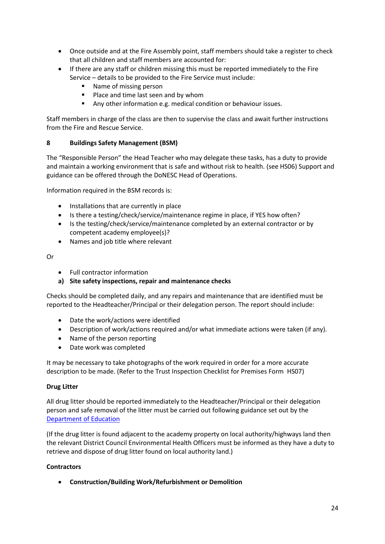- Once outside and at the Fire Assembly point, staff members should take a register to check that all children and staff members are accounted for:
- If there are any staff or children missing this must be reported immediately to the Fire Service – details to be provided to the Fire Service must include:
	- Name of missing person
	- Place and time last seen and by whom
	- Any other information e.g. medical condition or behaviour issues.

Staff members in charge of the class are then to supervise the class and await further instructions from the Fire and Rescue Service.

## **8 Buildings Safety Management (BSM)**

The "Responsible Person" the Head Teacher who may delegate these tasks, has a duty to provide and maintain a working environment that is safe and without risk to health. (see HS06) Support and guidance can be offered through the DoNESC Head of Operations.

Information required in the BSM records is:

- Installations that are currently in place
- Is there a testing/check/service/maintenance regime in place, if YES how often?
- Is the testing/check/service/maintenance completed by an external contractor or by competent academy employee(s)?
- Names and job title where relevant

Or

- Full contractor information
- **a) Site safety inspections, repair and maintenance checks**

Checks should be completed daily, and any repairs and maintenance that are identified must be reported to the Headteacher/Principal or their delegation person. The report should include:

- Date the work/actions were identified
- Description of work/actions required and/or what immediate actions were taken (if any).
- Name of the person reporting
- Date work was completed

It may be necessary to take photographs of the work required in order for a more accurate description to be made. (Refer to the Trust Inspection Checklist for Premises Form HS07)

## **Drug Litter**

All drug litter should be reported immediately to the Headteacher/Principal or their delegation person and safe removal of the litter must be carried out following guidance set out by the [Department of Education](https://assets.publishing.service.gov.uk/government/uploads/system/uploads/attachment_data/file/221089/pb10970-drugrelatedlitter.pdf)

(If the drug litter is found adjacent to the academy property on local authority/highways land then the relevant District Council Environmental Health Officers must be informed as they have a duty to retrieve and dispose of drug litter found on local authority land.)

## **Contractors**

• **Construction/Building Work/Refurbishment or Demolition**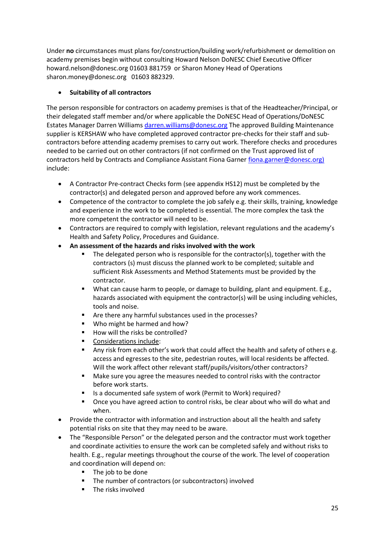Under **no** circumstances must plans for/construction/building work/refurbishment or demolition on academy premises begin without consulting Howard Nelson DoNESC Chief Executive Officer howard.nelson@donesc.org 01603 881759 or Sharon Money Head of Operations sharon.money@donesc.org 01603 882329.

# • **Suitability of all contractors**

The person responsible for contractors on academy premises is that of the Headteacher/Principal, or their delegated staff member and/or where applicable the DoNESC Head of Operations/DoNESC Estates Manager Darren William[s darren.williams@donesc.org](mailto:darren.williams@donesc.org) The approved Building Maintenance supplier is KERSHAW who have completed approved contractor pre-checks for their staff and subcontractors before attending academy premises to carry out work. Therefore checks and procedures needed to be carried out on other contractors (if not confirmed on the Trust approved list of contractors held by Contracts and Compliance Assistant Fiona Garner fiona garner@donesc.org) include:

- A Contractor Pre-contract Checks form (see appendix HS12) must be completed by the contractor(s) and delegated person and approved before any work commences.
- Competence of the contractor to complete the job safely e.g. their skills, training, knowledge and experience in the work to be completed is essential. The more complex the task the more competent the contractor will need to be.
- Contractors are required to comply with legislation, relevant regulations and the academy's Health and Safety Policy, Procedures and Guidance.
- **An assessment of the hazards and risks involved with the work**
	- The delegated person who is responsible for the contractor(s), together with the contractors (s) must discuss the planned work to be completed; suitable and sufficient Risk Assessments and Method Statements must be provided by the contractor.
	- What can cause harm to people, or damage to building, plant and equipment. E.g., hazards associated with equipment the contractor(s) will be using including vehicles, tools and noise.
	- Are there any harmful substances used in the processes?
	- Who might be harmed and how?
	- How will the risks be controlled?
	- Considerations include:
	- Any risk from each other's work that could affect the health and safety of others e.g. access and egresses to the site, pedestrian routes, will local residents be affected. Will the work affect other relevant staff/pupils/visitors/other contractors?
	- Make sure you agree the measures needed to control risks with the contractor before work starts.
	- Is a documented safe system of work (Permit to Work) required?
	- Once you have agreed action to control risks, be clear about who will do what and when.
- Provide the contractor with information and instruction about all the health and safety potential risks on site that they may need to be aware.
- The "Responsible Person" or the delegated person and the contractor must work together and coordinate activities to ensure the work can be completed safely and without risks to health. E.g., regular meetings throughout the course of the work. The level of cooperation and coordination will depend on:
	- The job to be done
	- The number of contractors (or subcontractors) involved
	- The risks involved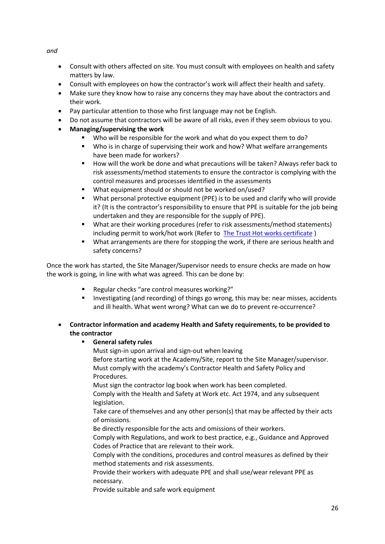*and*

- Consult with others affected on site. You must consult with employees on health and safety matters by law.
- Consult with employees on how the contractor's work will affect their health and safety.
- Make sure they know how to raise any concerns they may have about the contractors and their work.
- Pay particular attention to those who first language may not be English.
- Do not assume that contractors will be aware of all risks, even if they seem obvious to you.
- **Managing/supervising the work**
	- Who will be responsible for the work and what do you expect them to do?
	- Who is in charge of supervising their work and how? What welfare arrangements have been made for workers?
	- How will the work be done and what precautions will be taken? Always refer back to risk assessments/method statements to ensure the contractor is complying with the control measures and processes identified in the assessments
	- What equipment should or should not be worked on/used?
	- What personal protective equipment (PPE) is to be used and clarify who will provide it? (It is the contractor's responsibility to ensure that PPE is suitable for the job being undertaken and they are responsible for the supply of PPE).
	- What are their working procedures (refer to risk assessments/method statements) including permit to work/hot work (Refer to The Trust [Hot works certificate](http://www.dneat.org/dneat-academy-procedures) )
	- What arrangements are there for stopping the work, if there are serious health and safety concerns?

Once the work has started, the Site Manager/Supervisor needs to ensure checks are made on how the work is going, in line with what was agreed. This can be done by:

- Regular checks "are control measures working?"
- Investigating (and recording) of things go wrong, this may be: near misses, accidents and ill health. What went wrong? What can we do to prevent re-occurrence?
- **Contractor information and academy Health and Safety requirements, to be provided to the contractor**

# ▪ **General safety rules**

Must sign-in upon arrival and sign-out when leaving Before starting work at the Academy/Site, report to the Site Manager/supervisor. Must comply with the academy's Contractor Health and Safety Policy and Procedures.

Must sign the contractor log book when work has been completed.

Comply with the Health and Safety at Work etc. Act 1974, and any subsequent legislation.

Take care of themselves and any other person(s) that may be affected by their acts of omissions.

Be directly responsible for the acts and omissions of their workers.

Comply with Regulations, and work to best practice, e.g., Guidance and Approved Codes of Practice that are relevant to their work.

Comply with the conditions, procedures and control measures as defined by their method statements and risk assessments.

Provide their workers with adequate PPE and shall use/wear relevant PPE as necessary.

Provide suitable and safe work equipment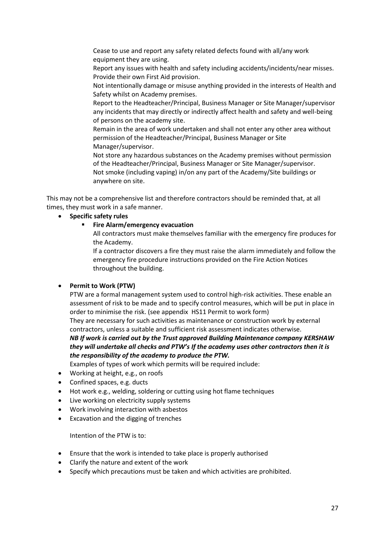Cease to use and report any safety related defects found with all/any work equipment they are using.

Report any issues with health and safety including accidents/incidents/near misses. Provide their own First Aid provision.

Not intentionally damage or misuse anything provided in the interests of Health and Safety whilst on Academy premises.

Report to the Headteacher/Principal, Business Manager or Site Manager/supervisor any incidents that may directly or indirectly affect health and safety and well-being of persons on the academy site.

Remain in the area of work undertaken and shall not enter any other area without permission of the Headteacher/Principal, Business Manager or Site Manager/supervisor.

Not store any hazardous substances on the Academy premises without permission of the Headteacher/Principal, Business Manager or Site Manager/supervisor. Not smoke (including vaping) in/on any part of the Academy/Site buildings or anywhere on site.

This may not be a comprehensive list and therefore contractors should be reminded that, at all times, they must work in a safe manner.

• **Specific safety rules**

#### **Fire Alarm/emergency evacuation**

All contractors must make themselves familiar with the emergency fire produces for the Academy.

If a contractor discovers a fire they must raise the alarm immediately and follow the emergency fire procedure instructions provided on the Fire Action Notices throughout the building.

## • **Permit to Work (PTW)**

PTW are a formal management system used to control high-risk activities. These enable an assessment of risk to be made and to specify control measures, which will be put in place in order to minimise the risk. (see appendix HS11 Permit to work form)

They are necessary for such activities as maintenance or construction work by external contractors, unless a suitable and sufficient risk assessment indicates otherwise.

*NB If work is carried out by the Trust approved Building Maintenance company KERSHAW they will undertake all checks and PTW's If the academy uses other contractors then it is the responsibility of the academy to produce the PTW.*

Examples of types of work which permits will be required include:

- Working at height, e.g., on roofs
- Confined spaces, e.g. ducts
- Hot work e.g., welding, soldering or cutting using hot flame techniques
- Live working on electricity supply systems
- Work involving interaction with asbestos
- Excavation and the digging of trenches

Intention of the PTW is to:

- Ensure that the work is intended to take place is properly authorised
- Clarify the nature and extent of the work
- Specify which precautions must be taken and which activities are prohibited.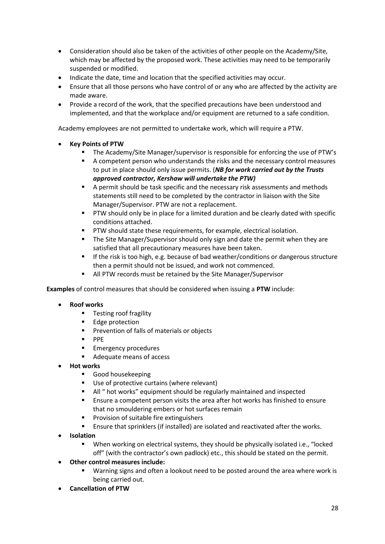- Consideration should also be taken of the activities of other people on the Academy/Site, which may be affected by the proposed work. These activities may need to be temporarily suspended or modified.
- Indicate the date, time and location that the specified activities may occur.
- Ensure that all those persons who have control of or any who are affected by the activity are made aware.
- Provide a record of the work, that the specified precautions have been understood and implemented, and that the workplace and/or equipment are returned to a safe condition.

Academy employees are not permitted to undertake work, which will require a PTW.

- **Key Points of PTW**
	- The Academy/Site Manager/supervisor is responsible for enforcing the use of PTW's
	- A competent person who understands the risks and the necessary control measures to put in place should only issue permits. (*NB for work carried out by the Trusts approved contractor, Kershaw will undertake the PTW)*
	- A permit should be task specific and the necessary risk assessments and methods statements still need to be completed by the contractor in liaison with the Site Manager/Supervisor. PTW are not a replacement.
	- **PTW should only be in place for a limited duration and be clearly dated with specific** conditions attached.
	- PTW should state these requirements, for example, electrical isolation.
	- The Site Manager/Supervisor should only sign and date the permit when they are satisfied that all precautionary measures have been taken.
	- **■** If the risk is too high, e.g. because of bad weather/conditions or dangerous structure then a permit should not be issued, and work not commenced.
	- All PTW records must be retained by the Site Manager/Supervisor

**Examples** of control measures that should be considered when issuing a **PTW** include:

- **Roof works**
	- Testing roof fragility
	- Edge protection
	- Prevention of falls of materials or objects
	- PPE
	- **Emergency procedures**
	- Adequate means of access
- **Hot works**
	- Good housekeeping
	- Use of protective curtains (where relevant)
	- All " hot works" equipment should be regularly maintained and inspected
	- Ensure a competent person visits the area after hot works has finished to ensure that no smouldering embers or hot surfaces remain
	- Provision of suitable fire extinguishers
	- Ensure that sprinklers (if installed) are isolated and reactivated after the works.
- **Isolation**
	- When working on electrical systems, they should be physically isolated i.e., "locked off" (with the contractor's own padlock) etc., this should be stated on the permit.
- **Other control measures include:**
	- Warning signs and often a lookout need to be posted around the area where work is being carried out.
- **Cancellation of PTW**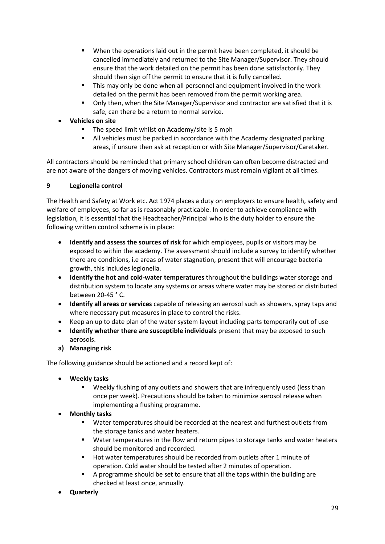- When the operations laid out in the permit have been completed, it should be cancelled immediately and returned to the Site Manager/Supervisor. They should ensure that the work detailed on the permit has been done satisfactorily. They should then sign off the permit to ensure that it is fully cancelled.
- This may only be done when all personnel and equipment involved in the work detailed on the permit has been removed from the permit working area.
- Only then, when the Site Manager/Supervisor and contractor are satisfied that it is safe, can there be a return to normal service.
- **Vehicles on site**
	- The speed limit whilst on Academy/site is 5 mph
	- All vehicles must be parked in accordance with the Academy designated parking areas, if unsure then ask at reception or with Site Manager/Supervisor/Caretaker.

All contractors should be reminded that primary school children can often become distracted and are not aware of the dangers of moving vehicles. Contractors must remain vigilant at all times.

## **9 Legionella control**

The Health and Safety at Work etc. Act 1974 places a duty on employers to ensure health, safety and welfare of employees, so far as is reasonably practicable. In order to achieve compliance with legislation, it is essential that the Headteacher/Principal who is the duty holder to ensure the following written control scheme is in place:

- **Identify and assess the sources of risk** for which employees, pupils or visitors may be exposed to within the academy. The assessment should include a survey to identify whether there are conditions, i.e areas of water stagnation, present that will encourage bacteria growth, this includes legionella.
- **Identify the hot and cold-water temperatures** throughout the buildings water storage and distribution system to locate any systems or areas where water may be stored or distributed between 20-45 ° C.
- **Identify all areas or services** capable of releasing an aerosol such as showers, spray taps and where necessary put measures in place to control the risks.
- Keep an up to date plan of the water system layout including parts temporarily out of use
- **Identify whether there are susceptible individuals** present that may be exposed to such aerosols.
- **a) Managing risk**

The following guidance should be actioned and a record kept of:

- **Weekly tasks**
	- **■** Weekly flushing of any outlets and showers that are infrequently used (less than once per week). Precautions should be taken to minimize aerosol release when implementing a flushing programme.
- **Monthly tasks**
	- Water temperatures should be recorded at the nearest and furthest outlets from the storage tanks and water heaters.
	- Water temperatures in the flow and return pipes to storage tanks and water heaters should be monitored and recorded.
	- Hot water temperatures should be recorded from outlets after 1 minute of operation. Cold water should be tested after 2 minutes of operation.
	- A programme should be set to ensure that all the taps within the building are checked at least once, annually.
- **Quarterly**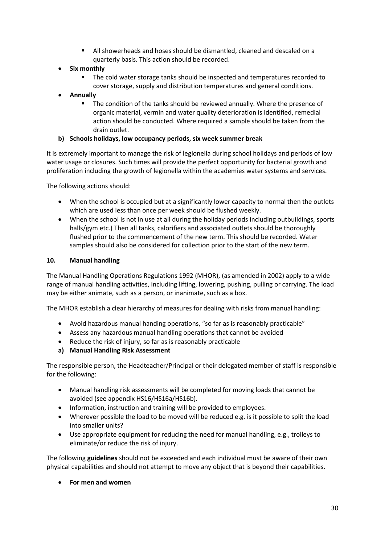- All showerheads and hoses should be dismantled, cleaned and descaled on a quarterly basis. This action should be recorded.
- **Six monthly**
	- The cold water storage tanks should be inspected and temperatures recorded to cover storage, supply and distribution temperatures and general conditions.
- **Annually**
	- The condition of the tanks should be reviewed annually. Where the presence of organic material, vermin and water quality deterioration is identified, remedial action should be conducted. Where required a sample should be taken from the drain outlet.

## **b) Schools holidays, low occupancy periods, six week summer break**

It is extremely important to manage the risk of legionella during school holidays and periods of low water usage or closures. Such times will provide the perfect opportunity for bacterial growth and proliferation including the growth of legionella within the academies water systems and services.

The following actions should:

- When the school is occupied but at a significantly lower capacity to normal then the outlets which are used less than once per week should be flushed weekly.
- When the school is not in use at all during the holiday periods including outbuildings, sports halls/gym etc.) Then all tanks, calorifiers and associated outlets should be thoroughly flushed prior to the commencement of the new term. This should be recorded. Water samples should also be considered for collection prior to the start of the new term.

#### **10. Manual handling**

The Manual Handling Operations Regulations 1992 (MHOR), (as amended in 2002) apply to a wide range of manual handling activities, including lifting, lowering, pushing, pulling or carrying. The load may be either animate, such as a person, or inanimate, such as a box.

The MHOR establish a clear hierarchy of measures for dealing with risks from manual handling:

- Avoid hazardous manual handing operations, "so far as is reasonably practicable"
- Assess any hazardous manual handling operations that cannot be avoided
- Reduce the risk of injury, so far as is reasonably practicable
- **a) Manual Handling Risk Assessment**

The responsible person, the Headteacher/Principal or their delegated member of staff is responsible for the following:

- Manual handling risk assessments will be completed for moving loads that cannot be avoided (see appendix HS16/HS16a/HS16b).
- Information, instruction and training will be provided to employees.
- Wherever possible the load to be moved will be reduced e.g. is it possible to split the load into smaller units?
- Use appropriate equipment for reducing the need for manual handling, e.g., trolleys to eliminate/or reduce the risk of injury.

The following **guidelines** should not be exceeded and each individual must be aware of their own physical capabilities and should not attempt to move any object that is beyond their capabilities.

• **For men and women**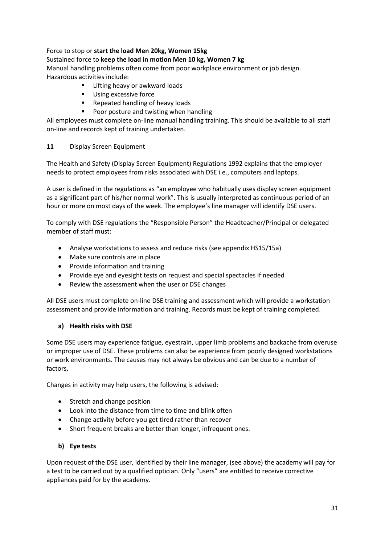## Force to stop or **start the load Men 20kg, Women 15kg**

## Sustained force to **keep the load in motion Men 10 kg, Women 7 kg**

Manual handling problems often come from poor workplace environment or job design. Hazardous activities include:

- Lifting heavy or awkward loads
- Using excessive force
- Repeated handling of heavy loads
- Poor posture and twisting when handling

All employees must complete on-line manual handling training. This should be available to all staff on-line and records kept of training undertaken.

## **11** Display Screen Equipment

The Health and Safety (Display Screen Equipment) Regulations 1992 explains that the employer needs to protect employees from risks associated with DSE i.e., computers and laptops.

A user is defined in the regulations as "an employee who habitually uses display screen equipment as a significant part of his/her normal work". This is usually interpreted as continuous period of an hour or more on most days of the week. The employee's line manager will identify DSE users.

To comply with DSE regulations the "Responsible Person" the Headteacher/Principal or delegated member of staff must:

- Analyse workstations to assess and reduce risks (see appendix HS15/15a)
- Make sure controls are in place
- Provide information and training
- Provide eye and eyesight tests on request and special spectacles if needed
- Review the assessment when the user or DSE changes

All DSE users must complete on-line DSE training and assessment which will provide a workstation assessment and provide information and training. Records must be kept of training completed.

## **a) Health risks with DSE**

Some DSE users may experience fatigue, eyestrain, upper limb problems and backache from overuse or improper use of DSE. These problems can also be experience from poorly designed workstations or work environments. The causes may not always be obvious and can be due to a number of factors,

Changes in activity may help users, the following is advised:

- Stretch and change position
- Look into the distance from time to time and blink often
- Change activity before you get tired rather than recover
- Short frequent breaks are better than longer, infrequent ones.

## **b) Eye tests**

Upon request of the DSE user, identified by their line manager, (see above) the academy will pay for a test to be carried out by a qualified optician. Only "users" are entitled to receive corrective appliances paid for by the academy.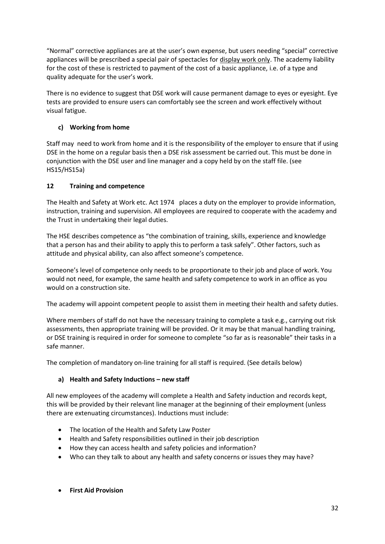"Normal" corrective appliances are at the user's own expense, but users needing "special" corrective appliances will be prescribed a special pair of spectacles for display work only. The academy liability for the cost of these is restricted to payment of the cost of a basic appliance, i.e. of a type and quality adequate for the user's work.

There is no evidence to suggest that DSE work will cause permanent damage to eyes or eyesight. Eye tests are provided to ensure users can comfortably see the screen and work effectively without visual fatigue.

# **c) Working from home**

Staff may need to work from home and it is the responsibility of the employer to ensure that if using DSE in the home on a regular basis then a DSE risk assessment be carried out. This must be done in conjunction with the DSE user and line manager and a copy held by on the staff file. (see HS15/HS15a)

# **12 Training and competence**

The Health and Safety at Work etc. Act 1974 places a duty on the employer to provide information, instruction, training and supervision. All employees are required to cooperate with the academy and the Trust in undertaking their legal duties.

The HSE describes competence as "the combination of training, skills, experience and knowledge that a person has and their ability to apply this to perform a task safely". Other factors, such as attitude and physical ability, can also affect someone's competence.

Someone's level of competence only needs to be proportionate to their job and place of work. You would not need, for example, the same health and safety competence to work in an office as you would on a construction site.

The academy will appoint competent people to assist them in meeting their health and safety duties.

Where members of staff do not have the necessary training to complete a task e.g., carrying out risk assessments, then appropriate training will be provided. Or it may be that manual handling training, or DSE training is required in order for someone to complete "so far as is reasonable" their tasks in a safe manner.

The completion of mandatory on-line training for all staff is required. (See details below)

# **a) Health and Safety Inductions – new staff**

All new employees of the academy will complete a Health and Safety induction and records kept, this will be provided by their relevant line manager at the beginning of their employment (unless there are extenuating circumstances). Inductions must include:

- The location of the Health and Safety Law Poster
- Health and Safety responsibilities outlined in their job description
- How they can access health and safety policies and information?
- Who can they talk to about any health and safety concerns or issues they may have?
- **First Aid Provision**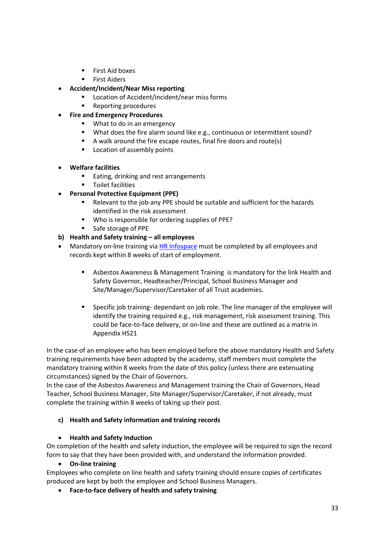- First Aid boxes
- **Exercise First Aiders**
- **Accident/Incident/Near Miss reporting**
	- Location of Accident/incident/near miss forms
	- Reporting procedures
- **Fire and Emergency Procedures**
	- What to do in an emergency
	- What does the fire alarm sound like e.g., continuous or intermittent sound?
	- A walk around the fire escape routes, final fire doors and route(s)
	- Location of assembly points
- **Welfare facilities**
	- Eating, drinking and rest arrangements
	- Toilet facilities
- **Personal Protective Equipment (PPE)**
	- Relevant to the job-any PPE should be suitable and sufficient for the hazards identified in the risk assessment
	- Who is responsible for ordering supplies of PPE?
	- Safe storage of PPE

## **b) Health and Safety training – all employees**

- Mandatory on-line training vi[a HR Infospace](https://www.infospace.org.uk/hr/) must be completed by all employees and records kept within 8 weeks of start of employment.
	- Asbestos Awareness & Management Training is mandatory for the link Health and Safety Governor, Headteacher/Principal, School Business Manager and Site/Manager/Supervisor/Caretaker of all Trust academies.
	- Specific job training- dependant on job role. The line manager of the employee will identify the training required e.g., risk management, risk assessment training. This could be face-to-face delivery, or on-line and these are outlined as a matrix in Appendix HS21

In the case of an employee who has been employed before the above mandatory Health and Safety training requirements have been adopted by the academy, staff members must complete the mandatory training within 8 weeks from the date of this policy (unless there are extenuating circumstances) signed by the Chair of Governors.

In the case of the Asbestos Awareness and Management training the Chair of Governors, Head Teacher, School Business Manager, Site Manager/Supervisor/Caretaker, if not already, must complete the training within 8 weeks of taking up their post.

## **c) Health and Safety information and training records**

## • **Health and Safety Induction**

On completion of the health and safety induction, the employee will be required to sign the record form to say that they have been provided with, and understand the information provided.

• **On-line training**

Employees who complete on line health and safety training should ensure copies of certificates produced are kept by both the employee and School Business Managers.

• **Face-to-face delivery of health and safety training**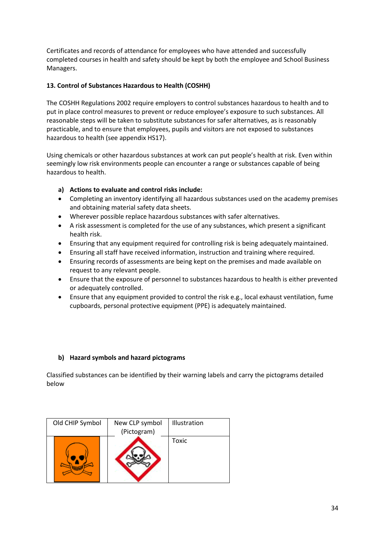Certificates and records of attendance for employees who have attended and successfully completed courses in health and safety should be kept by both the employee and School Business Managers.

## **13. Control of Substances Hazardous to Health (COSHH)**

The COSHH Regulations 2002 require employers to control substances hazardous to health and to put in place control measures to prevent or reduce employee's exposure to such substances. All reasonable steps will be taken to substitute substances for safer alternatives, as is reasonably practicable, and to ensure that employees, pupils and visitors are not exposed to substances hazardous to health (see appendix HS17).

Using chemicals or other hazardous substances at work can put people's health at risk. Even within seemingly low risk environments people can encounter a range or substances capable of being hazardous to health.

## **a) Actions to evaluate and control risks include:**

- Completing an inventory identifying all hazardous substances used on the academy premises and obtaining material safety data sheets.
- Wherever possible replace hazardous substances with safer alternatives.
- A risk assessment is completed for the use of any substances, which present a significant health risk.
- Ensuring that any equipment required for controlling risk is being adequately maintained.
- Ensuring all staff have received information, instruction and training where required.
- Ensuring records of assessments are being kept on the premises and made available on request to any relevant people.
- Ensure that the exposure of personnel to substances hazardous to health is either prevented or adequately controlled.
- Ensure that any equipment provided to control the risk e.g., local exhaust ventilation, fume cupboards, personal protective equipment (PPE) is adequately maintained.

## **b) Hazard symbols and hazard pictograms**

Classified substances can be identified by their warning labels and carry the pictograms detailed below

| Old CHIP Symbol | New CLP symbol | Illustration |
|-----------------|----------------|--------------|
|                 | (Pictogram)    |              |
|                 |                | Toxic        |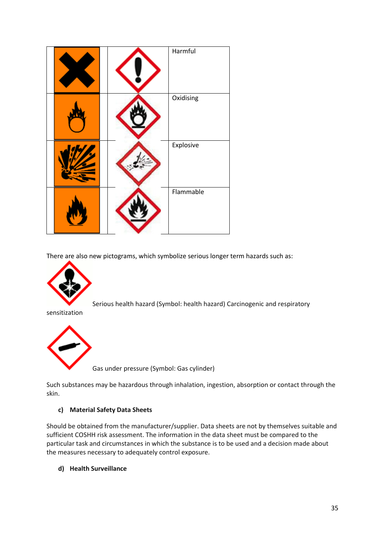|  | Harmful   |
|--|-----------|
|  | Oxidising |
|  | Explosive |
|  | Flammable |

There are also new pictograms, which symbolize serious longer term hazards such as:



Serious health hazard (Symbol: health hazard) Carcinogenic and respiratory

sensitization



Gas under pressure (Symbol: Gas cylinder)

Such substances may be hazardous through inhalation, ingestion, absorption or contact through the skin.

#### **c) Material Safety Data Sheets**

Should be obtained from the manufacturer/supplier. Data sheets are not by themselves suitable and sufficient COSHH risk assessment. The information in the data sheet must be compared to the particular task and circumstances in which the substance is to be used and a decision made about the measures necessary to adequately control exposure.

**d) Health Surveillance**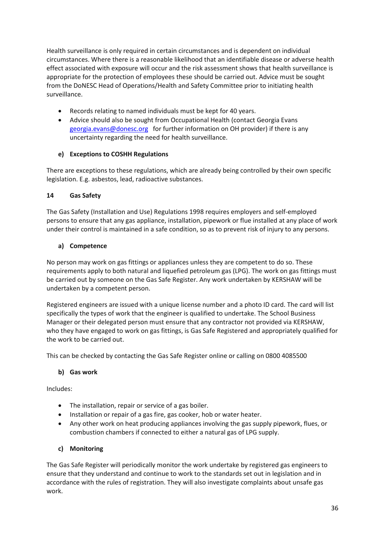Health surveillance is only required in certain circumstances and is dependent on individual circumstances. Where there is a reasonable likelihood that an identifiable disease or adverse health effect associated with exposure will occur and the risk assessment shows that health surveillance is appropriate for the protection of employees these should be carried out. Advice must be sought from the DoNESC Head of Operations/Health and Safety Committee prior to initiating health surveillance.

- Records relating to named individuals must be kept for 40 years.
- Advice should also be sought from Occupational Health (contact Georgia Evans [georgia.evans@donesc.org](mailto:georgia.evans@donesc.org) for further information on OH provider) if there is any uncertainty regarding the need for health surveillance.

## **e) Exceptions to COSHH Regulations**

There are exceptions to these regulations, which are already being controlled by their own specific legislation. E.g. asbestos, lead, radioactive substances.

## **14 Gas Safety**

The Gas Safety (Installation and Use) Regulations 1998 requires employers and self-employed persons to ensure that any gas appliance, installation, pipework or flue installed at any place of work under their control is maintained in a safe condition, so as to prevent risk of injury to any persons.

## **a) Competence**

No person may work on gas fittings or appliances unless they are competent to do so. These requirements apply to both natural and liquefied petroleum gas (LPG). The work on gas fittings must be carried out by someone on the Gas Safe Register. Any work undertaken by KERSHAW will be undertaken by a competent person.

Registered engineers are issued with a unique license number and a photo ID card. The card will list specifically the types of work that the engineer is qualified to undertake. The School Business Manager or their delegated person must ensure that any contractor not provided via KERSHAW, who they have engaged to work on gas fittings, is Gas Safe Registered and appropriately qualified for the work to be carried out.

This can be checked by contacting the Gas Safe Register online or calling on 0800 4085500

## **b) Gas work**

Includes:

- The installation, repair or service of a gas boiler.
- Installation or repair of a gas fire, gas cooker, hob or water heater.
- Any other work on heat producing appliances involving the gas supply pipework, flues, or combustion chambers if connected to either a natural gas of LPG supply.

## **c) Monitoring**

The Gas Safe Register will periodically monitor the work undertake by registered gas engineers to ensure that they understand and continue to work to the standards set out in legislation and in accordance with the rules of registration. They will also investigate complaints about unsafe gas work.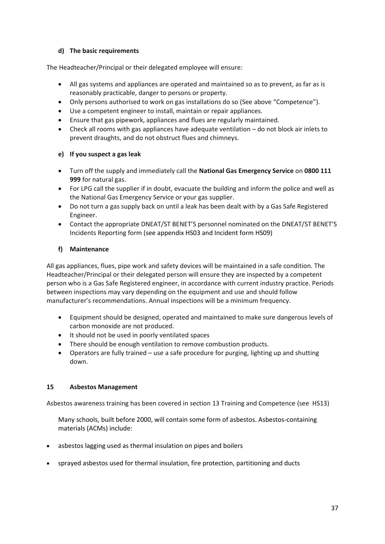## **d) The basic requirements**

The Headteacher/Principal or their delegated employee will ensure:

- All gas systems and appliances are operated and maintained so as to prevent, as far as is reasonably practicable, danger to persons or property.
- Only persons authorised to work on gas installations do so (See above "Competence").
- Use a competent engineer to install, maintain or repair appliances.
- Ensure that gas pipework, appliances and flues are regularly maintained.
- Check all rooms with gas appliances have adequate ventilation do not block air inlets to prevent draughts, and do not obstruct flues and chimneys.

## **e) If you suspect a gas leak**

- Turn off the supply and immediately call the **National Gas Emergency Service** on **0800 111 999** for natural gas.
- For LPG call the supplier if in doubt, evacuate the building and inform the police and well as the National Gas Emergency Service or your gas supplier.
- Do not turn a gas supply back on until a leak has been dealt with by a Gas Safe Registered Engineer.
- Contact the appropriate DNEAT/ST BENET'S personnel nominated on the DNEAT/ST BENET'S Incidents Reporting form (see appendix HS03 and Incident form HS09)

## **f) Maintenance**

All gas appliances, flues, pipe work and safety devices will be maintained in a safe condition. The Headteacher/Principal or their delegated person will ensure they are inspected by a competent person who is a Gas Safe Registered engineer, in accordance with current industry practice. Periods between inspections may vary depending on the equipment and use and should follow manufacturer's recommendations. Annual inspections will be a minimum frequency.

- Equipment should be designed, operated and maintained to make sure dangerous levels of carbon monoxide are not produced.
- It should not be used in poorly ventilated spaces
- There should be enough ventilation to remove combustion products.
- Operators are fully trained use a safe procedure for purging, lighting up and shutting down.

## **15 Asbestos Management**

Asbestos awareness training has been covered in section 13 Training and Competence (see HS13)

Many schools, built before 2000, will contain some form of asbestos. Asbestos-containing materials (ACMs) include:

- asbestos lagging used as thermal insulation on pipes and boilers
- sprayed asbestos used for thermal insulation, fire protection, partitioning and ducts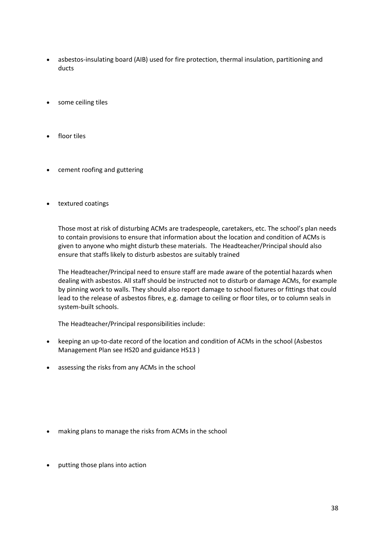- asbestos-insulating board (AIB) used for fire protection, thermal insulation, partitioning and ducts
- some ceiling tiles
- floor tiles
- cement roofing and guttering
- textured coatings

Those most at risk of disturbing ACMs are tradespeople, caretakers, etc. The school's plan needs to contain provisions to ensure that information about the location and condition of ACMs is given to anyone who might disturb these materials. The Headteacher/Principal should also ensure that staffs likely to disturb asbestos are suitably trained

The Headteacher/Principal need to ensure staff are made aware of the potential hazards when dealing with asbestos. All staff should be instructed not to disturb or damage ACMs, for example by pinning work to walls. They should also report damage to school fixtures or fittings that could lead to the release of asbestos fibres, e.g. damage to ceiling or floor tiles, or to column seals in system-built schools.

The Headteacher/Principal responsibilities include:

- keeping an up-to-date record of the location and condition of ACMs in the school (Asbestos Management Plan see HS20 and guidance HS13 )
- assessing the risks from any ACMs in the school

- making plans to manage the risks from ACMs in the school
- putting those plans into action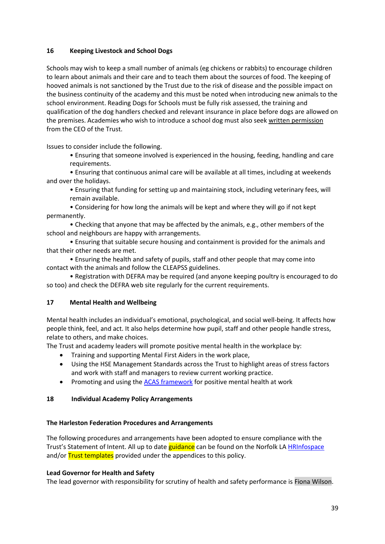#### **16 Keeping Livestock and School Dogs**

Schools may wish to keep a small number of animals (eg chickens or rabbits) to encourage children to learn about animals and their care and to teach them about the sources of food. The keeping of hooved animals is not sanctioned by the Trust due to the risk of disease and the possible impact on the business continuity of the academy and this must be noted when introducing new animals to the school environment. Reading Dogs for Schools must be fully risk assessed, the training and qualification of the dog handlers checked and relevant insurance in place before dogs are allowed on the premises. Academies who wish to introduce a school dog must also seek written permission from the CEO of the Trust.

Issues to consider include the following.

• Ensuring that someone involved is experienced in the housing, feeding, handling and care requirements.

• Ensuring that continuous animal care will be available at all times, including at weekends and over the holidays.

• Ensuring that funding for setting up and maintaining stock, including veterinary fees, will remain available.

• Considering for how long the animals will be kept and where they will go if not kept permanently.

• Checking that anyone that may be affected by the animals, e.g., other members of the school and neighbours are happy with arrangements.

• Ensuring that suitable secure housing and containment is provided for the animals and that their other needs are met.

• Ensuring the health and safety of pupils, staff and other people that may come into contact with the animals and follow the CLEAPSS guidelines.

• Registration with DEFRA may be required (and anyone keeping poultry is encouraged to do so too) and check the DEFRA web site regularly for the current requirements.

## **17 Mental Health and Wellbeing**

Mental health includes an individual's emotional, psychological, and social well-being. It affects how people think, feel, and act. It also helps determine how pupil, staff and other people handle stress, relate to others, and make choices.

The Trust and academy leaders will promote positive mental health in the workplace by:

- Training and supporting Mental First Aiders in the work place,
- Using the HSE Management Standards across the Trust to highlight areas of stress factors and work with staff and managers to review current working practice.
- Promoting and using th[e ACAS framework](https://www.acas.org.uk/index.aspx?articleid=1900) for positive mental health at work

#### **18 Individual Academy Policy Arrangements**

#### **The Harleston Federation Procedures and Arrangements**

The following procedures and arrangements have been adopted to ensure compliance with the Trust's Statement of Intent. All up to date guidance can be found on the Norfolk LA [HRInfospace](https://www.infospace.org.uk/hr/) and/or **Trust templates** provided under the appendices to this policy.

#### **Lead Governor for Health and Safety**

The lead governor with responsibility for scrutiny of health and safety performance is Fiona Wilson.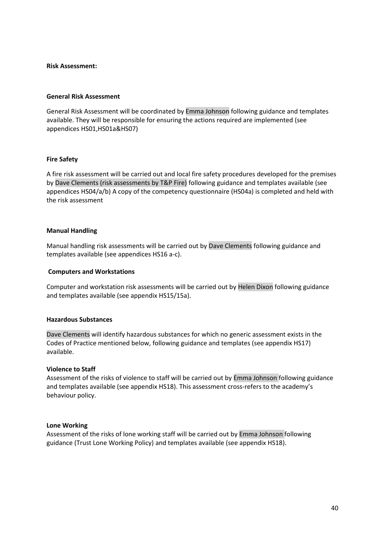#### **Risk Assessment:**

#### **General Risk Assessment**

General Risk Assessment will be coordinated by Emma Johnson following guidance and templates available. They will be responsible for ensuring the actions required are implemented (see appendices HS01,HS01a&HS07)

#### **Fire Safety**

A fire risk assessment will be carried out and local fire safety procedures developed for the premises by Dave Clements (risk assessments by T&P Fire) following guidance and templates available (see appendices HS04/a/b) A copy of the competency questionnaire (HS04a) is completed and held with the risk assessment

#### **Manual Handling**

Manual handling risk assessments will be carried out by Dave Clements following guidance and templates available (see appendices HS16 a-c).

#### **Computers and Workstations**

Computer and workstation risk assessments will be carried out by Helen Dixon following guidance and templates available (see appendix HS15/15a).

#### **Hazardous Substances**

Dave Clements will identify hazardous substances for which no generic assessment exists in the Codes of Practice mentioned below, following guidance and templates (see appendix HS17) available.

#### **Violence to Staff**

Assessment of the risks of violence to staff will be carried out by Emma Johnson following guidance and templates available (see appendix HS18). This assessment cross-refers to the academy's behaviour policy.

#### **Lone Working**

Assessment of the risks of lone working staff will be carried out by Emma Johnson following guidance (Trust Lone Working Policy) and templates available (see appendix HS18).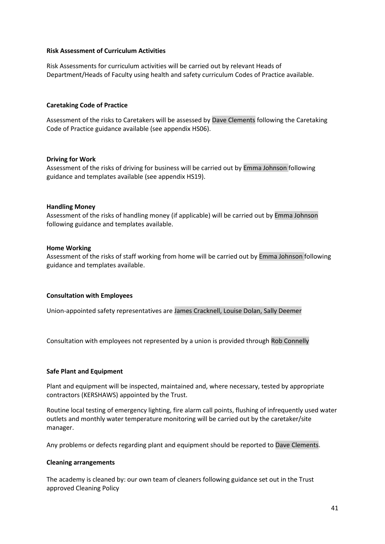#### **Risk Assessment of Curriculum Activities**

Risk Assessments for curriculum activities will be carried out by relevant Heads of Department/Heads of Faculty using health and safety curriculum Codes of Practice available.

#### **Caretaking Code of Practice**

Assessment of the risks to Caretakers will be assessed by Dave Clements following the Caretaking Code of Practice guidance available (see appendix HS06).

#### **Driving for Work**

Assessment of the risks of driving for business will be carried out by Emma Johnson following guidance and templates available (see appendix HS19).

#### **Handling Money**

Assessment of the risks of handling money (if applicable) will be carried out by Emma Johnson following guidance and templates available.

#### **Home Working**

Assessment of the risks of staff working from home will be carried out by Emma Johnson following guidance and templates available.

#### **Consultation with Employees**

Union-appointed safety representatives are James Cracknell, Louise Dolan, Sally Deemer

Consultation with employees not represented by a union is provided through Rob Connelly

#### **Safe Plant and Equipment**

Plant and equipment will be inspected, maintained and, where necessary, tested by appropriate contractors (KERSHAWS) appointed by the Trust.

Routine local testing of emergency lighting, fire alarm call points, flushing of infrequently used water outlets and monthly water temperature monitoring will be carried out by the caretaker/site manager.

Any problems or defects regarding plant and equipment should be reported to Dave Clements.

#### **Cleaning arrangements**

The academy is cleaned by: our own team of cleaners following guidance set out in the Trust approved Cleaning Policy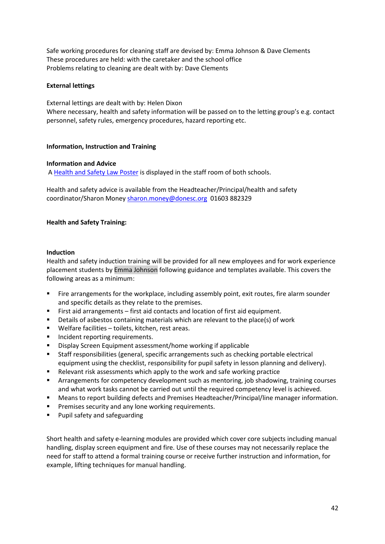Safe working procedures for cleaning staff are devised by: Emma Johnson & Dave Clements These procedures are held: with the caretaker and the school office Problems relating to cleaning are dealt with by: Dave Clements

#### **External lettings**

External lettings are dealt with by: Helen Dixon Where necessary, health and safety information will be passed on to the letting group's e.g. contact personnel, safety rules, emergency procedures, hazard reporting etc.

#### **Information, Instruction and Training**

#### **Information and Advice**

A [Health and Safety Law Poster](http://www.hse.gov.uk/pubns/books/lawposter.htm) is displayed in the staff room of both schools.

Health and safety advice is available from the Headteacher/Principal/health and safety coordinator/Sharon Money [sharon.money@donesc.org](mailto:sharon.money@donesc.org) 01603 882329

#### **Health and Safety Training:**

#### **Induction**

Health and safety induction training will be provided for all new employees and for work experience placement students by Emma Johnson following guidance and templates available. This covers the following areas as a minimum:

- **•** Fire arrangements for the workplace, including assembly point, exit routes, fire alarm sounder and specific details as they relate to the premises.
- First aid arrangements first aid contacts and location of first aid equipment.
- Details of asbestos containing materials which are relevant to the place(s) of work
- Welfare facilities toilets, kitchen, rest areas.
- Incident reporting requirements.
- Display Screen Equipment assessment/home working if applicable
- Staff responsibilities (general, specific arrangements such as checking portable electrical equipment using the checklist, responsibility for pupil safety in lesson planning and delivery).
- Relevant risk assessments which apply to the work and safe working practice
- **■** Arrangements for competency development such as mentoring, job shadowing, training courses and what work tasks cannot be carried out until the required competency level is achieved.
- Means to report building defects and Premises Headteacher/Principal/line manager information.
- Premises security and any lone working requirements.
- Pupil safety and safeguarding

Short health and safety e-learning modules are provided which cover core subjects including manual handling, display screen equipment and fire. Use of these courses may not necessarily replace the need for staff to attend a formal training course or receive further instruction and information, for example, lifting techniques for manual handling.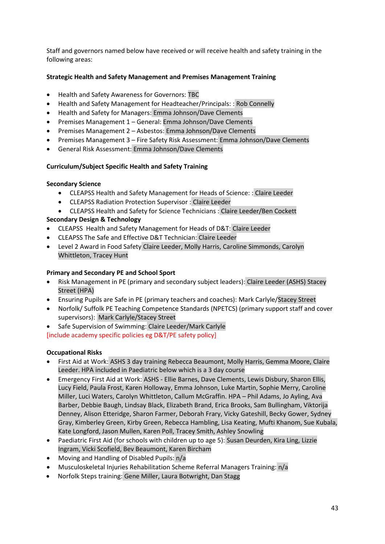Staff and governors named below have received or will receive health and safety training in the following areas:

## **Strategic Health and Safety Management and Premises Management Training**

- Health and Safety Awareness for Governors: TBC
- Health and Safety Management for Headteacher/Principals: : Rob Connelly
- Health and Safety for Managers: Emma Johnson/Dave Clements
- Premises Management 1 General: Emma Johnson/Dave Clements
- Premises Management 2 Asbestos: Emma Johnson/Dave Clements
- Premises Management 3 Fire Safety Risk Assessment: Emma Johnson/Dave Clements
- General Risk Assessment: Emma Johnson/Dave Clements

## **Curriculum/Subject Specific Health and Safety Training**

## **Secondary Science**

- CLEAPSS Health and Safety Management for Heads of Science: : Claire Leeder
- CLEAPSS Radiation Protection Supervisor : Claire Leeder
- CLEAPSS Health and Safety for Science Technicians : Claire Leeder/Ben Cockett

# **Secondary Design & Technology**

- CLEAPSS Health and Safety Management for Heads of D&T: Claire Leeder
- CLEAPSS The Safe and Effective D&T Technician: Claire Leeder
- Level 2 Award in Food Safety Claire Leeder, Molly Harris, Caroline Simmonds, Carolyn Whittleton, Tracey Hunt

## **Primary and Secondary PE and School Sport**

- Risk Management in PE (primary and secondary subject leaders): Claire Leeder (ASHS) Stacey Street (HPA)
- Ensuring Pupils are Safe in PE (primary teachers and coaches): Mark Carlyle/Stacey Street
- Norfolk/ Suffolk PE Teaching Competence Standards (NPETCS) (primary support staff and cover supervisors): Mark Carlyle/Stacey Street
- Safe Supervision of Swimming: Claire Leeder/Mark Carlyle

[include academy specific policies eg D&T/PE safety policy]

## **Occupational Risks**

- First Aid at Work: ASHS 3 day training Rebecca Beaumont, Molly Harris, Gemma Moore, Claire Leeder. HPA included in Paediatric below which is a 3 day course
- Emergency First Aid at Work: ASHS Ellie Barnes, Dave Clements, Lewis Disbury, Sharon Ellis, Lucy Field, Paula Frost, Karen Holloway, Emma Johnson, Luke Martin, Sophie Merry, Caroline Miller, Luci Waters, Carolyn Whittleton, Callum McGraffin. HPA – Phil Adams, Jo Ayling, Ava Barber, Debbie Baugh, Lindsay Black, Elizabeth Brand, Erica Brooks, Sam Bullingham, Viktorija Denney, Alison Etteridge, Sharon Farmer, Deborah Frary, Vicky Gateshill, Becky Gower, Sydney Gray, Kimberley Green, Kirby Green, Rebecca Hambling, Lisa Keating, Mufti Khanom, Sue Kubala, Kate Longford, Jason Mullen, Karen Poll, Tracey Smith, Ashley Snowling
- Paediatric First Aid (for schools with children up to age 5): Susan Deurden, Kira Ling, Lizzie Ingram, Vicki Scofield, Bev Beaumont, Karen Bircham
- Moving and Handling of Disabled Pupils: n/a
- Musculoskeletal Injuries Rehabilitation Scheme Referral Managers Training: n/a
- Norfolk Steps training: Gene Miller, Laura Botwright, Dan Stagg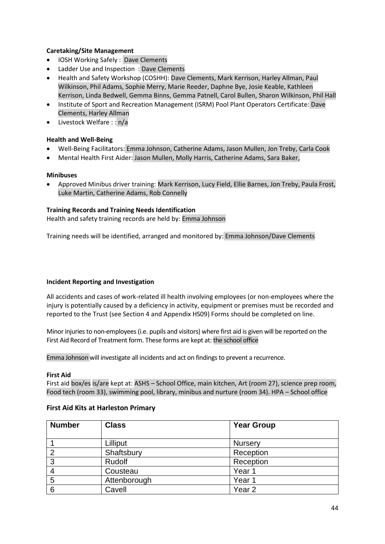## **Caretaking/Site Management**

- IOSH Working Safely : Dave Clements
- Ladder Use and Inspection : Dave Clements
- Health and Safety Workshop (COSHH): Dave Clements, Mark Kerrison, Harley Allman, Paul Wilkinson, Phil Adams, Sophie Merry, Marie Reeder, Daphne Bye, Josie Keable, Kathleen Kerrison, Linda Bedwell, Gemma Binns, Gemma Patnell, Carol Bullen, Sharon Wilkinson, Phil Hall
- Institute of Sport and Recreation Management (ISRM) Pool Plant Operators Certificate: Dave Clements, Harley Allman
- Livestock Welfare : : n/a

#### **Health and Well-Being**

- Well-Being Facilitators: Emma Johnson, Catherine Adams, Jason Mullen, Jon Treby, Carla Cook
- Mental Health First Aider: Jason Mullen, Molly Harris, Catherine Adams, Sara Baker,

#### **Minibuses**

• Approved Minibus driver training: Mark Kerrison, Lucy Field, Ellie Barnes, Jon Treby, Paula Frost, Luke Martin, Catherine Adams, Rob Connelly

#### **Training Records and Training Needs Identification**

Health and safety training records are held by: Emma Johnson

Training needs will be identified, arranged and monitored by: Emma Johnson/Dave Clements

#### **Incident Reporting and Investigation**

All accidents and cases of work-related ill health involving employees (or non-employees where the injury is potentially caused by a deficiency in activity, equipment or premises must be recorded and reported to the Trust (see Section 4 and Appendix HS09) Forms should be completed on line.

Minor injuries to non-employees (i.e. pupils and visitors) where first aid is given will be reported on the First Aid Record of Treatment form. These forms are kept at: the school office

Emma Johnson will investigate all incidents and act on findings to prevent a recurrence.

#### **First Aid**

First aid box/es is/are kept at: ASHS – School Office, main kitchen, Art (room 27), science prep room, Food tech (room 33), swimming pool, library, minibus and nurture (room 34). HPA – School office

#### **First Aid Kits at Harleston Primary**

| <b>Number</b> | <b>Class</b> | <b>Year Group</b> |  |
|---------------|--------------|-------------------|--|
|               | Lilliput     | <b>Nursery</b>    |  |
| 2             | Shaftsbury   | Reception         |  |
| 3             | Rudolf       | Reception         |  |
| 4             | Cousteau     | Year 1            |  |
| 5             | Attenborough | Year 1            |  |
| 6             | Cavell       | Year <sub>2</sub> |  |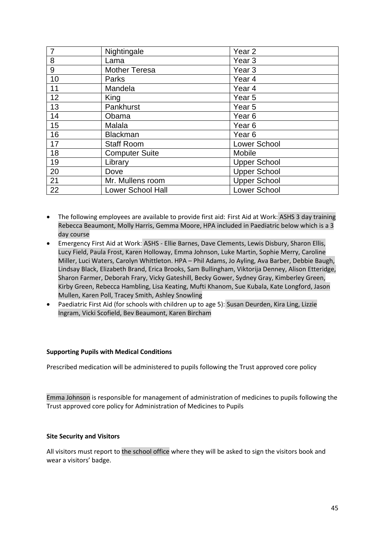| $\overline{7}$ | Nightingale           | Year <sub>2</sub>   |
|----------------|-----------------------|---------------------|
| 8              | Lama                  | Year <sub>3</sub>   |
| 9              | <b>Mother Teresa</b>  | Year <sub>3</sub>   |
| 10             | Parks                 | Year 4              |
| 11             | Mandela               | Year 4              |
| 12             | King                  | Year 5              |
| 13             | Pankhurst             | Year <sub>5</sub>   |
| 14             | Obama                 | Year <sub>6</sub>   |
| 15             | Malala                | Year <sub>6</sub>   |
| 16             | <b>Blackman</b>       | Year <sub>6</sub>   |
| 17             | <b>Staff Room</b>     | <b>Lower School</b> |
| 18             | <b>Computer Suite</b> | Mobile              |
| 19             | Library               | <b>Upper School</b> |
| 20             | Dove                  | <b>Upper School</b> |
| 21             | Mr. Mullens room      | <b>Upper School</b> |
| 22             | Lower School Hall     | Lower School        |

- The following employees are available to provide first aid: First Aid at Work: ASHS 3 day training Rebecca Beaumont, Molly Harris, Gemma Moore, HPA included in Paediatric below which is a 3 day course
- Emergency First Aid at Work: ASHS Ellie Barnes, Dave Clements, Lewis Disbury, Sharon Ellis, Lucy Field, Paula Frost, Karen Holloway, Emma Johnson, Luke Martin, Sophie Merry, Caroline Miller, Luci Waters, Carolyn Whittleton. HPA – Phil Adams, Jo Ayling, Ava Barber, Debbie Baugh, Lindsay Black, Elizabeth Brand, Erica Brooks, Sam Bullingham, Viktorija Denney, Alison Etteridge, Sharon Farmer, Deborah Frary, Vicky Gateshill, Becky Gower, Sydney Gray, Kimberley Green, Kirby Green, Rebecca Hambling, Lisa Keating, Mufti Khanom, Sue Kubala, Kate Longford, Jason Mullen, Karen Poll, Tracey Smith, Ashley Snowling
- Paediatric First Aid (for schools with children up to age 5): Susan Deurden, Kira Ling, Lizzie Ingram, Vicki Scofield, Bev Beaumont, Karen Bircham

#### **Supporting Pupils with Medical Conditions**

Prescribed medication will be administered to pupils following the Trust approved core policy

Emma Johnson is responsible for management of administration of medicines to pupils following the Trust approved core policy for Administration of Medicines to Pupils

#### **Site Security and Visitors**

All visitors must report to the school office where they will be asked to sign the visitors book and wear a visitors' badge.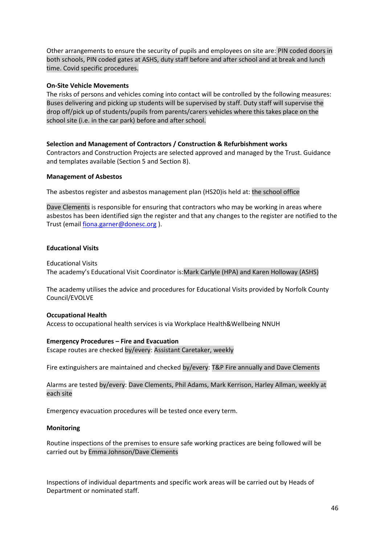Other arrangements to ensure the security of pupils and employees on site are: PIN coded doors in both schools, PIN coded gates at ASHS, duty staff before and after school and at break and lunch time. Covid specific procedures.

#### **On-Site Vehicle Movements**

The risks of persons and vehicles coming into contact will be controlled by the following measures: Buses delivering and picking up students will be supervised by staff. Duty staff will supervise the drop off/pick up of students/pupils from parents/carers vehicles where this takes place on the school site (i.e. in the car park) before and after school.

**Selection and Management of Contractors / Construction & Refurbishment works** Contractors and Construction Projects are selected approved and managed by the Trust. Guidance and templates available (Section 5 and Section 8).

#### **Management of Asbestos**

The asbestos register and asbestos management plan (HS20)is held at: the school office

Dave Clements is responsible for ensuring that contractors who may be working in areas where asbestos has been identified sign the register and that any changes to the register are notified to the Trust (email [fiona.garner@donesc.org](mailto:fiona.garner@donesc.org) ).

#### **Educational Visits**

Educational Visits The academy's Educational Visit Coordinator is:Mark Carlyle (HPA) and Karen Holloway (ASHS)

The academy utilises the advice and procedures for Educational Visits provided by Norfolk County Council/EVOLVE

## **Occupational Health**

Access to occupational health services is via Workplace Health&Wellbeing NNUH

#### **Emergency Procedures – Fire and Evacuation**

Escape routes are checked by/every: Assistant Caretaker, weekly

Fire extinguishers are maintained and checked by/every: T&P Fire annually and Dave Clements

Alarms are tested by/every: Dave Clements, Phil Adams, Mark Kerrison, Harley Allman, weekly at each site

Emergency evacuation procedures will be tested once every term.

## **Monitoring**

Routine inspections of the premises to ensure safe working practices are being followed will be carried out by Emma Johnson/Dave Clements

Inspections of individual departments and specific work areas will be carried out by Heads of Department or nominated staff.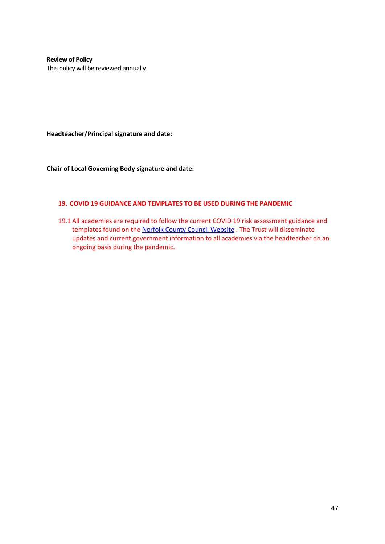**Review of Policy** This policy will be reviewed annually.

**Headteacher/Principal signature and date:**

**Chair of Local Governing Body signature and date:**

#### **19. COVID 19 GUIDANCE AND TEMPLATES TO BE USED DURING THE PANDEMIC**

19.1 All academies are required to follow the current COVID 19 risk assessment guidance and templates found on the [Norfolk County Council Website](https://www.schools.norfolk.gov.uk/coronavirus/health-safety-and-wellbeing) . The Trust will disseminate updates and current government information to all academies via the headteacher on an ongoing basis during the pandemic.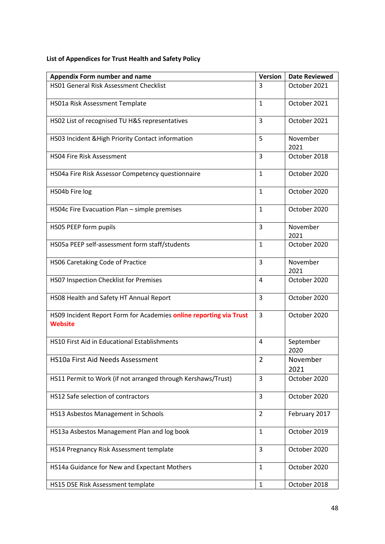# **List of Appendices for Trust Health and Safety Policy**

| <b>Appendix Form number and name</b>                                                 | <b>Version</b> | <b>Date Reviewed</b> |
|--------------------------------------------------------------------------------------|----------------|----------------------|
| <b>HS01 General Risk Assessment Checklist</b>                                        | 3              | October 2021         |
| HS01a Risk Assessment Template                                                       | $\mathbf{1}$   | October 2021         |
| HS02 List of recognised TU H&S representatives                                       | 3              | October 2021         |
| HS03 Incident & High Priority Contact information                                    | 5              | November<br>2021     |
| <b>HSO4 Fire Risk Assessment</b>                                                     | 3              | October 2018         |
| HS04a Fire Risk Assessor Competency questionnaire                                    | $\mathbf{1}$   | October 2020         |
| HS04b Fire log                                                                       | $\mathbf{1}$   | October 2020         |
| HS04c Fire Evacuation Plan - simple premises                                         | $\mathbf{1}$   | October 2020         |
| HS05 PEEP form pupils                                                                | 3              | November<br>2021     |
| HS05a PEEP self-assessment form staff/students                                       | $\mathbf{1}$   | October 2020         |
| HS06 Caretaking Code of Practice                                                     | 3              | November<br>2021     |
| HS07 Inspection Checklist for Premises                                               | 4              | October 2020         |
| HS08 Health and Safety HT Annual Report                                              | 3              | October 2020         |
| HS09 Incident Report Form for Academies online reporting via Trust<br><b>Website</b> | 3              | October 2020         |
| <b>HS10 First Aid in Educational Establishments</b>                                  | 4              | September<br>2020    |
| HS10a First Aid Needs Assessment                                                     | $\overline{2}$ | November<br>2021     |
| HS11 Permit to Work (if not arranged through Kershaws/Trust)                         | 3              | October 2020         |
| HS12 Safe selection of contractors                                                   | 3              | October 2020         |
| HS13 Asbestos Management in Schools                                                  | $\overline{2}$ | February 2017        |
| HS13a Asbestos Management Plan and log book                                          | $\mathbf{1}$   | October 2019         |
| HS14 Pregnancy Risk Assessment template                                              | 3              | October 2020         |
| HS14a Guidance for New and Expectant Mothers                                         | $\mathbf{1}$   | October 2020         |
| HS15 DSE Risk Assessment template                                                    | 1              | October 2018         |